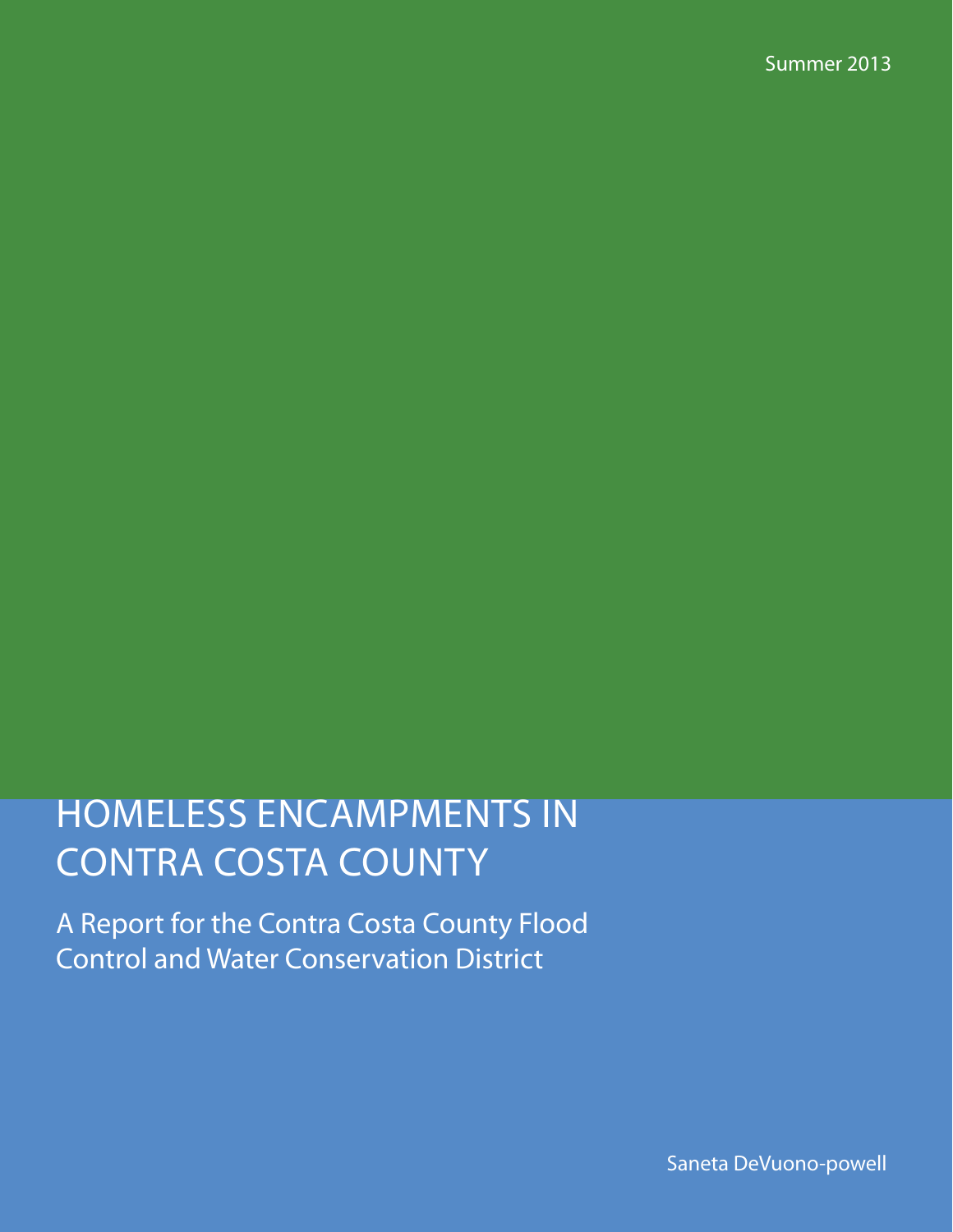# Homeless Encampments in CONTRA COSTA COUNTY

A Report for the Contra Costa County Flood Control and Water Conservation District

Saneta DeVuono-powell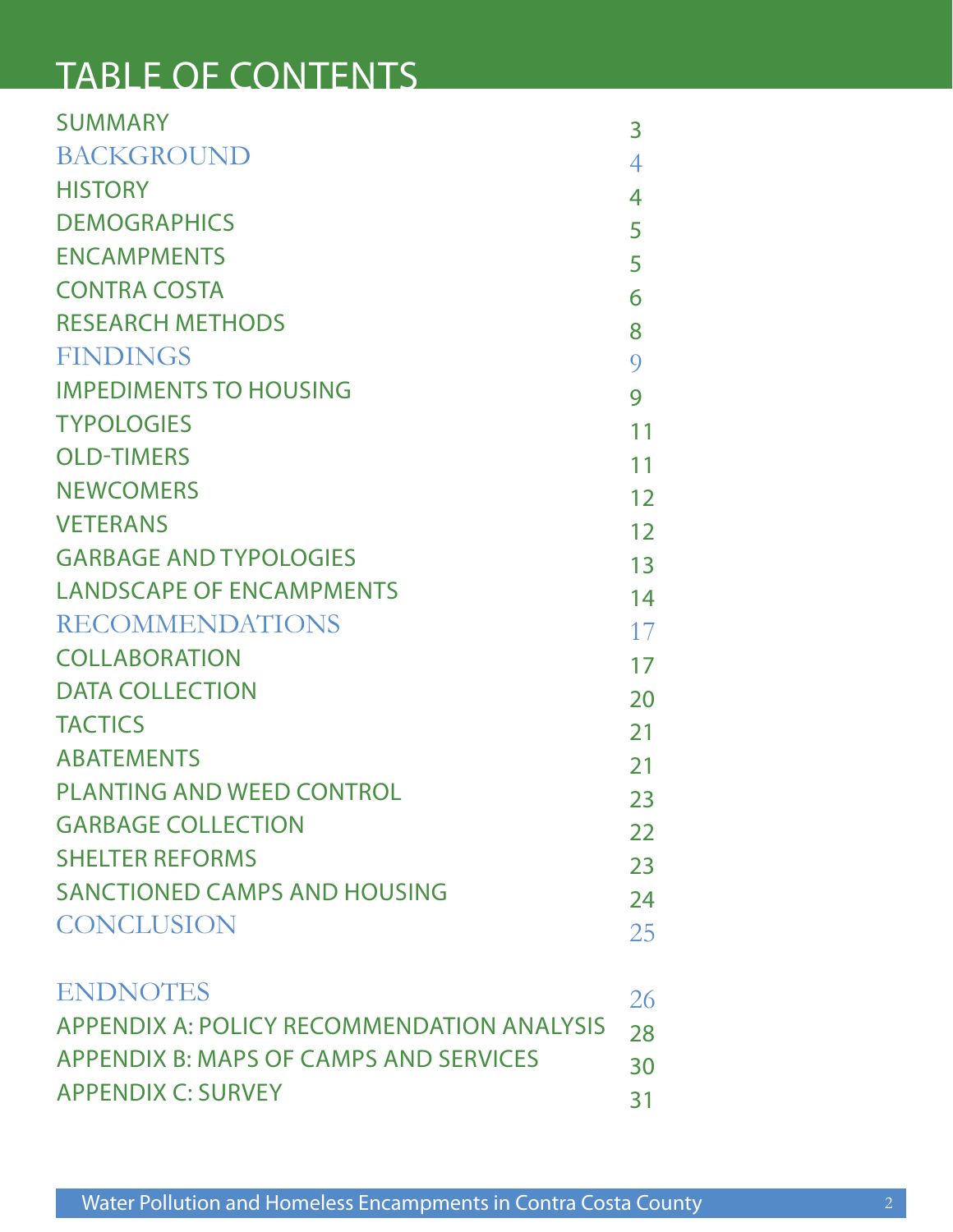# TABLE OF CONTENTS

| <b>SUMMARY</b>                                    | 3  |
|---------------------------------------------------|----|
| <b>BACKGROUND</b>                                 | 4  |
| <b>HISTORY</b>                                    | 4  |
| <b>DEMOGRAPHICS</b>                               | 5  |
| <b>ENCAMPMENTS</b>                                | 5  |
| <b>CONTRA COSTA</b>                               | 6  |
| <b>RESEARCH METHODS</b>                           | 8  |
| <b>FINDINGS</b>                                   | 9  |
| <b>IMPEDIMENTS TO HOUSING</b>                     | 9  |
| <b>TYPOLOGIES</b>                                 | 11 |
| <b>OLD-TIMERS</b>                                 | 11 |
| <b>NEWCOMERS</b>                                  | 12 |
| <b>VETERANS</b>                                   | 12 |
| <b>GARBAGE AND TYPOLOGIES</b>                     | 13 |
| <b>LANDSCAPE OF ENCAMPMENTS</b>                   | 14 |
| <b>RECOMMENDATIONS</b>                            | 17 |
| <b>COLLABORATION</b>                              | 17 |
| <b>DATA COLLECTION</b>                            | 20 |
| <b>TACTICS</b>                                    | 21 |
| <b>ABATEMENTS</b>                                 | 21 |
| <b>PLANTING AND WEED CONTROL</b>                  | 23 |
| <b>GARBAGE COLLECTION</b>                         | 22 |
| <b>SHELTER REFORMS</b>                            | 23 |
| <b>SANCTIONED CAMPS AND HOUSING</b>               | 24 |
| <b>CONCLUSION</b>                                 | 25 |
| <b>ENDNOTES</b>                                   | 26 |
| <b>APPENDIX A: POLICY RECOMMENDATION ANALYSIS</b> | 28 |
| <b>APPENDIX B: MAPS OF CAMPS AND SERVICES</b>     | 30 |
| <b>APPENDIX C: SURVEY</b>                         | 31 |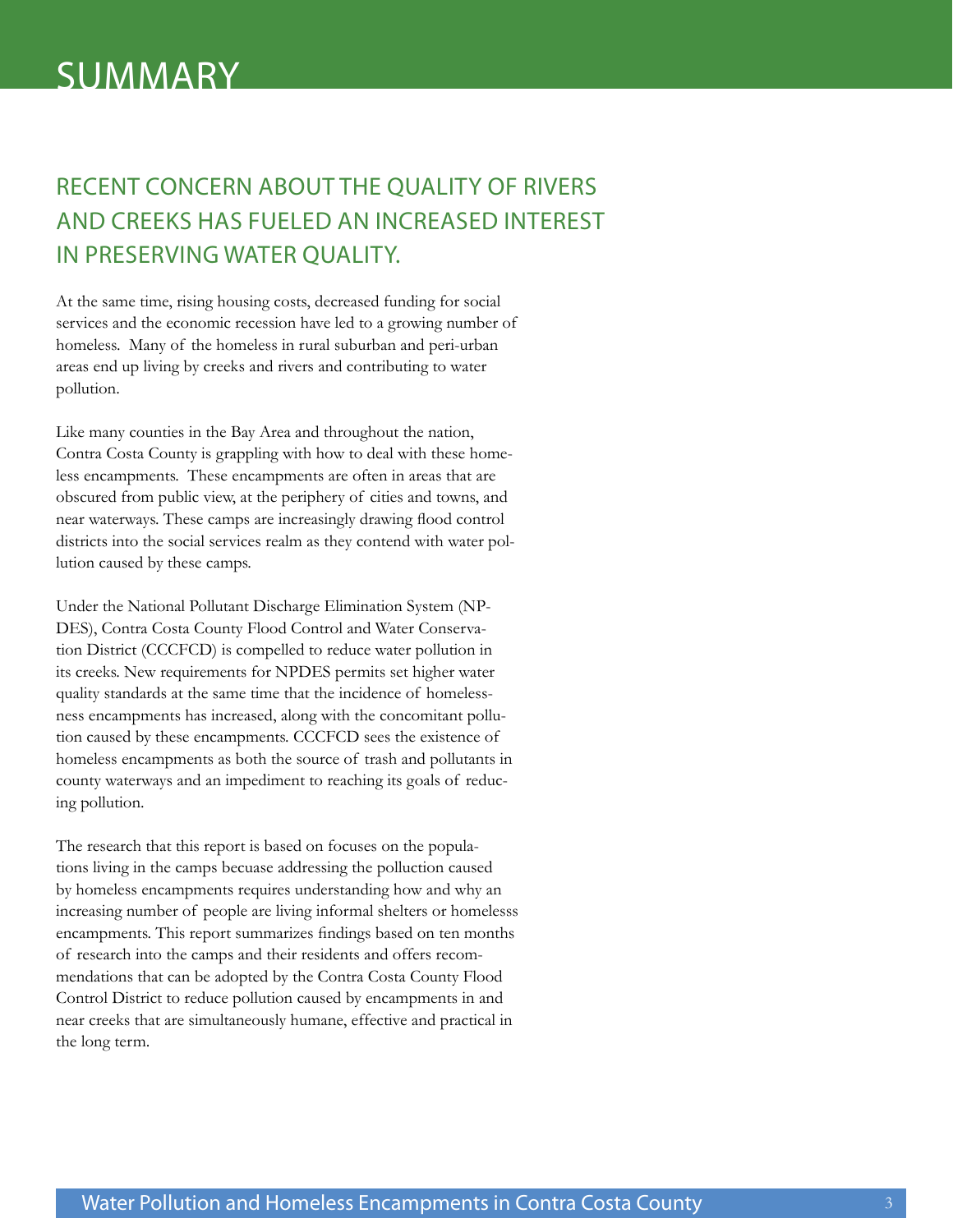## SUMMARY

## Recent concern about the quality of rivers and creeks has fueled an increased interest in preserving water quality.

At the same time, rising housing costs, decreased funding for social services and the economic recession have led to a growing number of homeless. Many of the homeless in rural suburban and peri-urban areas end up living by creeks and rivers and contributing to water pollution.

Like many counties in the Bay Area and throughout the nation, Contra Costa County is grappling with how to deal with these homeless encampments. These encampments are often in areas that are obscured from public view, at the periphery of cities and towns, and near waterways. These camps are increasingly drawing flood control districts into the social services realm as they contend with water pollution caused by these camps.

Under the National Pollutant Discharge Elimination System (NP-DES), Contra Costa County Flood Control and Water Conservation District (CCCFCD) is compelled to reduce water pollution in its creeks. New requirements for NPDES permits set higher water quality standards at the same time that the incidence of homelessness encampments has increased, along with the concomitant pollution caused by these encampments. CCCFCD sees the existence of homeless encampments as both the source of trash and pollutants in county waterways and an impediment to reaching its goals of reducing pollution.

The research that this report is based on focuses on the populations living in the camps becuase addressing the polluction caused by homeless encampments requires understanding how and why an increasing number of people are living informal shelters or homelesss encampments. This report summarizes findings based on ten months of research into the camps and their residents and offers recommendations that can be adopted by the Contra Costa County Flood Control District to reduce pollution caused by encampments in and near creeks that are simultaneously humane, effective and practical in the long term.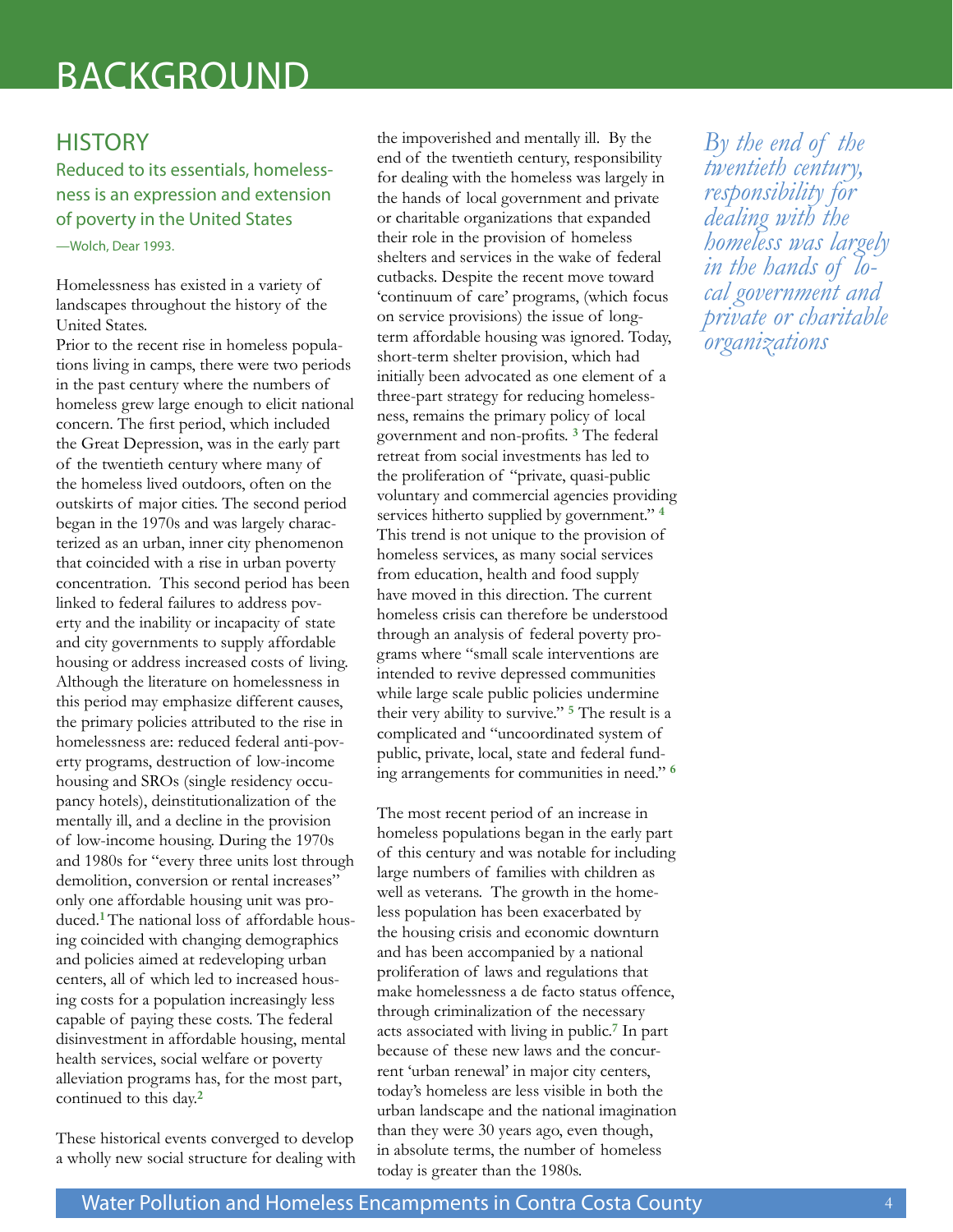# BACKGROUND

#### **HISTORY**

Reduced to its essentials, homelessness is an expression and extension of poverty in the United States

—Wolch, Dear 1993.

Homelessness has existed in a variety of landscapes throughout the history of the United States.

Prior to the recent rise in homeless populations living in camps, there were two periods in the past century where the numbers of homeless grew large enough to elicit national concern. The first period, which included the Great Depression, was in the early part of the twentieth century where many of the homeless lived outdoors, often on the outskirts of major cities. The second period began in the 1970s and was largely characterized as an urban, inner city phenomenon that coincided with a rise in urban poverty concentration. This second period has been linked to federal failures to address poverty and the inability or incapacity of state and city governments to supply affordable housing or address increased costs of living. Although the literature on homelessness in this period may emphasize different causes, the primary policies attributed to the rise in homelessness are: reduced federal anti-poverty programs, destruction of low-income housing and SROs (single residency occupancy hotels), deinstitutionalization of the mentally ill, and a decline in the provision of low-income housing. During the 1970s and 1980s for "every three units lost through demolition, conversion or rental increases" only one affordable housing unit was produced.**1**The national loss of affordable housing coincided with changing demographics and policies aimed at redeveloping urban centers, all of which led to increased housing costs for a population increasingly less capable of paying these costs. The federal disinvestment in affordable housing, mental health services, social welfare or poverty alleviation programs has, for the most part, continued to this day.**2**

These historical events converged to develop a wholly new social structure for dealing with

the impoverished and mentally ill. By the end of the twentieth century, responsibility for dealing with the homeless was largely in the hands of local government and private or charitable organizations that expanded their role in the provision of homeless shelters and services in the wake of federal cutbacks. Despite the recent move toward 'continuum of care' programs, (which focus on service provisions) the issue of longterm affordable housing was ignored. Today, short-term shelter provision, which had initially been advocated as one element of a three-part strategy for reducing homelessness, remains the primary policy of local government and non-profits. **3** The federal retreat from social investments has led to the proliferation of "private, quasi-public voluntary and commercial agencies providing services hitherto supplied by government." **4** This trend is not unique to the provision of homeless services, as many social services from education, health and food supply have moved in this direction. The current homeless crisis can therefore be understood through an analysis of federal poverty programs where "small scale interventions are intended to revive depressed communities while large scale public policies undermine their very ability to survive." **5** The result is a complicated and "uncoordinated system of public, private, local, state and federal funding arrangements for communities in need." **6**

The most recent period of an increase in homeless populations began in the early part of this century and was notable for including large numbers of families with children as well as veterans. The growth in the homeless population has been exacerbated by the housing crisis and economic downturn and has been accompanied by a national proliferation of laws and regulations that make homelessness a de facto status offence, through criminalization of the necessary acts associated with living in public.**7** In part because of these new laws and the concurrent 'urban renewal' in major city centers, today's homeless are less visible in both the urban landscape and the national imagination than they were 30 years ago, even though, in absolute terms, the number of homeless today is greater than the 1980s.

*By the end of the twentieth century, responsibility for dealing with the homeless was largely in the hands of lo- cal government and private or charitable organizations*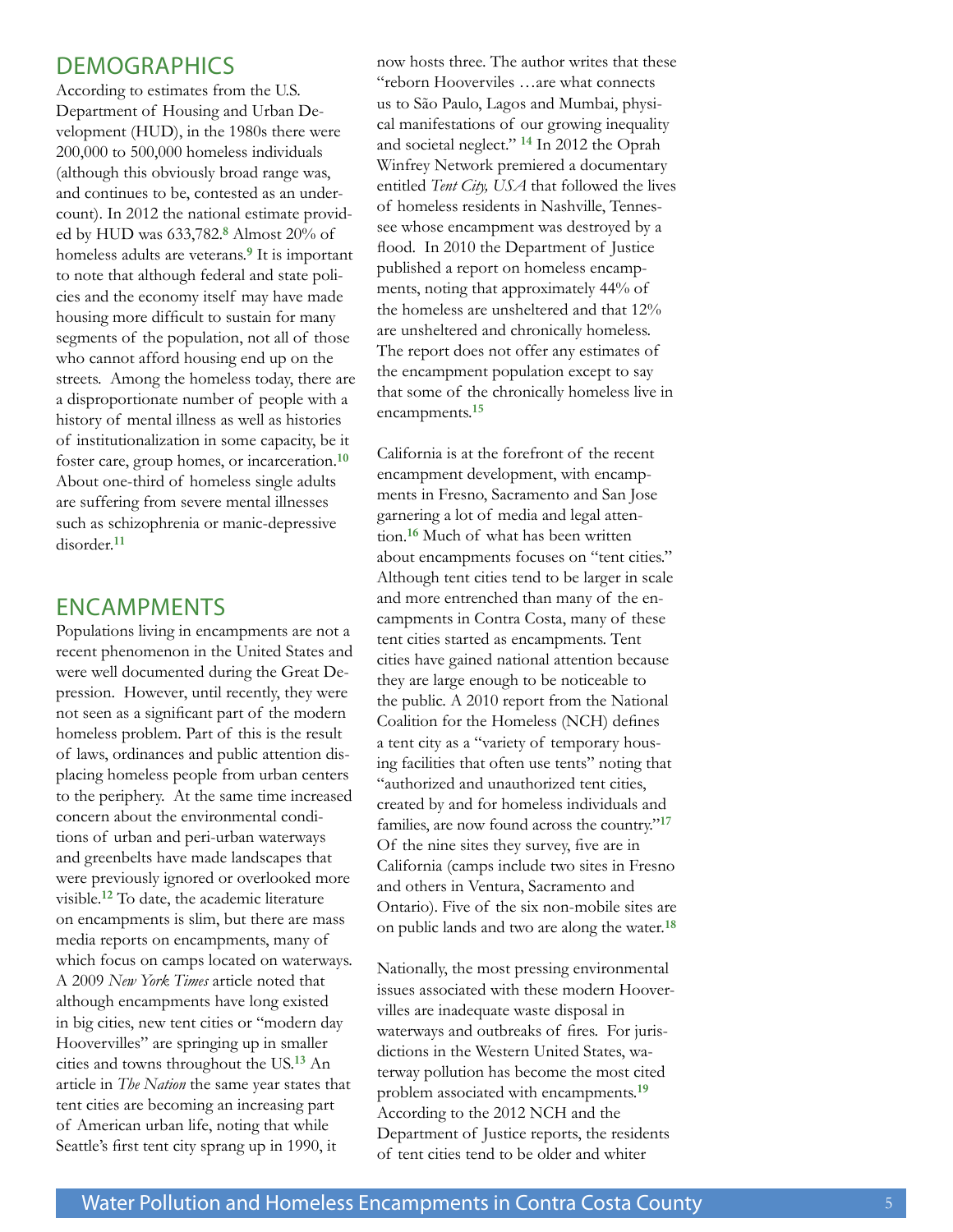#### **DEMOGRAPHICS**

According to estimates from the U. S. Department of Housing and Urban D e velopment (HUD), in the 1980s there were 200,000 to 500,000 homeless individuals (although this obviously broad range was, and continues to be, contested as an under count). In 2012 the national estimate provid ed by HUD was 633,782. **8** Almost 20% of homeless adults are veterans. **9** It is important to note that although federal and state poli cies and the economy itself may have made housing more difficult to sustain for many segments of the population, not all of those who cannot afford housing end up on the streets. Among the homeless today, there are a disproportionate number of people with a history of mental illness as well as histories of institutionalization in some capacity, be it foster care, group homes, or incarceration.**<sup>10</sup>** About one-third of homeless single adults are suffering from severe mental illnesses such as schizophrenia or manic-depressive disorder.**11**

#### **ENCAMPMENTS**

Populations living in encampments are not a recent phenomenon in the United States and were well documented during the Great Depression. However, until recently, they were not seen as a significant part of the modern homeless problem. Part of this is the result of laws, ordinances and public attention dis placing homeless people from urban centers to the periphery. At the same time increased concern about the environmental condi tions of urban and peri-urban waterways and greenbelts have made landscapes that were previously ignored or overlooked more visible.**12** To date, the academic literature on encampments is slim, but there are mass media reports on encampments, many of which focus on camps located on waterways. A 2009 *New York Times* article noted that although encampments have long existed in big cities, new tent cities or "modern day Hoovervilles" are springing up in smaller cities and towns throughout the US . **13** An article in *The Nation* the same year states that tent cities are becoming an increasing part of American urban life, noting that while Seattle's first tent city sprang up in 1990, it

now hosts three. The author writes that these "reborn Hooverviles …are what connects us to São Paulo, Lagos and Mumbai, physi cal manifestations of our growing inequality and societal neglect." **14** In 2012 the Oprah Winfrey Network premiered a documentary entitled *Tent City, USA* that followed the lives of homeless residents in Nashville, Tennes see whose encampment was destroyed by a flood. In 2010 the Department of Justice published a report on homeless encamp ments, noting that approximately 44% of the homeless are unsheltered and that 12% are unsheltered and chronically homeless. The report does not offer any estimates of the encampment population except to say that some of the chronically homeless live in encampments.**15**

California is at the forefront of the recent encampment development, with encamp ments in Fresno, Sacramento and San Jose garnering a lot of media and legal atten tion.**16** Much of what has been written about encampments focuses on "tent cities." Although tent cities tend to be larger in scale and more entrenched than many of the en campments in Contra Costa, many of these tent cities started as encampments. Tent cities have gained national attention because they are large enough to be noticeable to the public. A 2010 report from the National Coalition for the Homeless (NCH) defines a tent city as a "variety of temporary hous ing facilities that often use tents" noting that "authorized and unauthorized tent cities, created by and for homeless individuals and families, are now found across the country."**17** Of the nine sites they survey, five are in California (camps include two sites in Fresno and others in Ventura, Sacramento and Ontario). Five of the six non-mobile sites are on public lands and two are along the water.**18**

Nationally, the most pressing environmental issues associated with these modern Hoover villes are inadequate waste disposal in waterways and outbreaks of fires. For juris dictions in the Western United States, wa terway pollution has become the most cited problem associated with encampments.**19** According to the 2012 NCH and the Department of Justice reports, the residents of tent cities tend to be older and whiter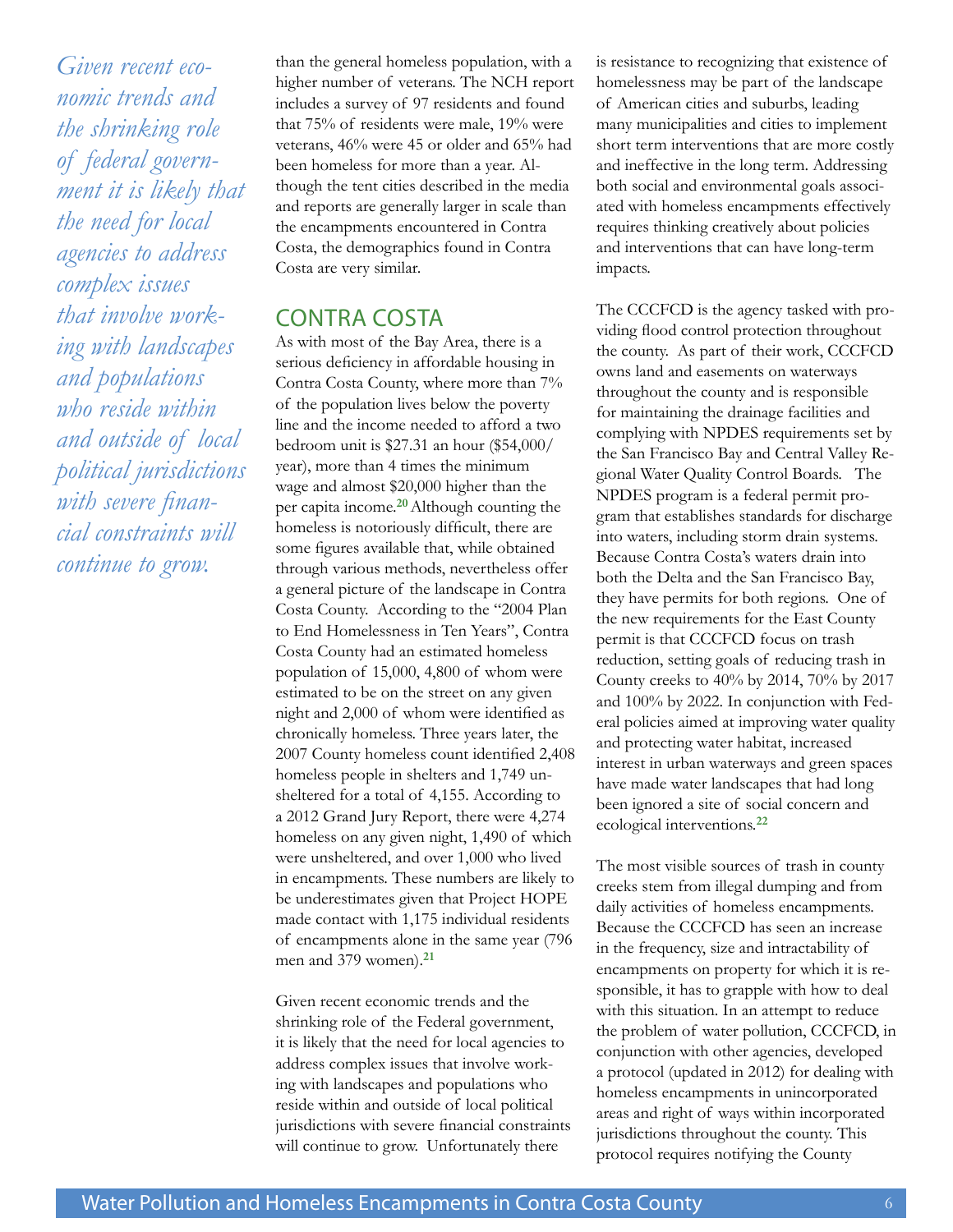*Given recent economic trends and the shrinking role of federal government it is likely that the need for local agencies to address complex issues that involve working with landscapes and populations who reside within and outside of local political jurisdictions with severe financial constraints will continue to grow.* 

than the general homeless population, with a higher number of veterans. The NCH report includes a survey of 97 residents and found that 75% of residents were male, 19% were veterans, 46% were 45 or older and 65% had been homeless for more than a year. Although the tent cities described in the media and reports are generally larger in scale than the encampments encountered in Contra Costa, the demographics found in Contra Costa are very similar.

#### Contra Costa

As with most of the Bay Area, there is a serious deficiency in affordable housing in Contra Costa County, where more than 7% of the population lives below the poverty line and the income needed to afford a two bedroom unit is \$27.31 an hour (\$54,000/ year), more than 4 times the minimum wage and almost \$20,000 higher than the per capita income.**20** Although counting the homeless is notoriously difficult, there are some figures available that, while obtained through various methods, nevertheless offer a general picture of the landscape in Contra Costa County. According to the "2004 Plan to End Homelessness in Ten Years", Contra Costa County had an estimated homeless population of 15,000, 4,800 of whom were estimated to be on the street on any given night and 2,000 of whom were identified as chronically homeless. Three years later, the 2007 County homeless count identified 2,408 homeless people in shelters and 1,749 unsheltered for a total of 4,155. According to a 2012 Grand Jury Report, there were 4,274 homeless on any given night, 1,490 of which were unsheltered, and over 1,000 who lived in encampments. These numbers are likely to be underestimates given that Project HOPE made contact with 1,175 individual residents of encampments alone in the same year (796 men and 379 women).**<sup>21</sup>**

Given recent economic trends and the shrinking role of the Federal government, it is likely that the need for local agencies to address complex issues that involve working with landscapes and populations who reside within and outside of local political jurisdictions with severe financial constraints will continue to grow. Unfortunately there

is resistance to recognizing that existence of homelessness may be part of the landscape of American cities and suburbs, leading many municipalities and cities to implement short term interventions that are more costly and ineffective in the long term. Addressing both social and environmental goals associated with homeless encampments effectively requires thinking creatively about policies and interventions that can have long-term impacts.

The CCCFCD is the agency tasked with providing flood control protection throughout the county. As part of their work, CCCFCD owns land and easements on waterways throughout the county and is responsible for maintaining the drainage facilities and complying with NPDES requirements set by the San Francisco Bay and Central Valley Regional Water Quality Control Boards. The NPDES program is a federal permit program that establishes standards for discharge into waters, including storm drain systems. Because Contra Costa's waters drain into both the Delta and the San Francisco Bay, they have permits for both regions. One of the new requirements for the East County permit is that CCCFCD focus on trash reduction, setting goals of reducing trash in County creeks to 40% by 2014, 70% by 2017 and 100% by 2022. In conjunction with Federal policies aimed at improving water quality and protecting water habitat, increased interest in urban waterways and green spaces have made water landscapes that had long been ignored a site of social concern and ecological interventions.**<sup>22</sup>**

The most visible sources of trash in county creeks stem from illegal dumping and from daily activities of homeless encampments. Because the CCCFCD has seen an increase in the frequency, size and intractability of encampments on property for which it is responsible, it has to grapple with how to deal with this situation. In an attempt to reduce the problem of water pollution, CCCFCD, in conjunction with other agencies, developed a protocol (updated in 2012) for dealing with homeless encampments in unincorporated areas and right of ways within incorporated jurisdictions throughout the county. This protocol requires notifying the County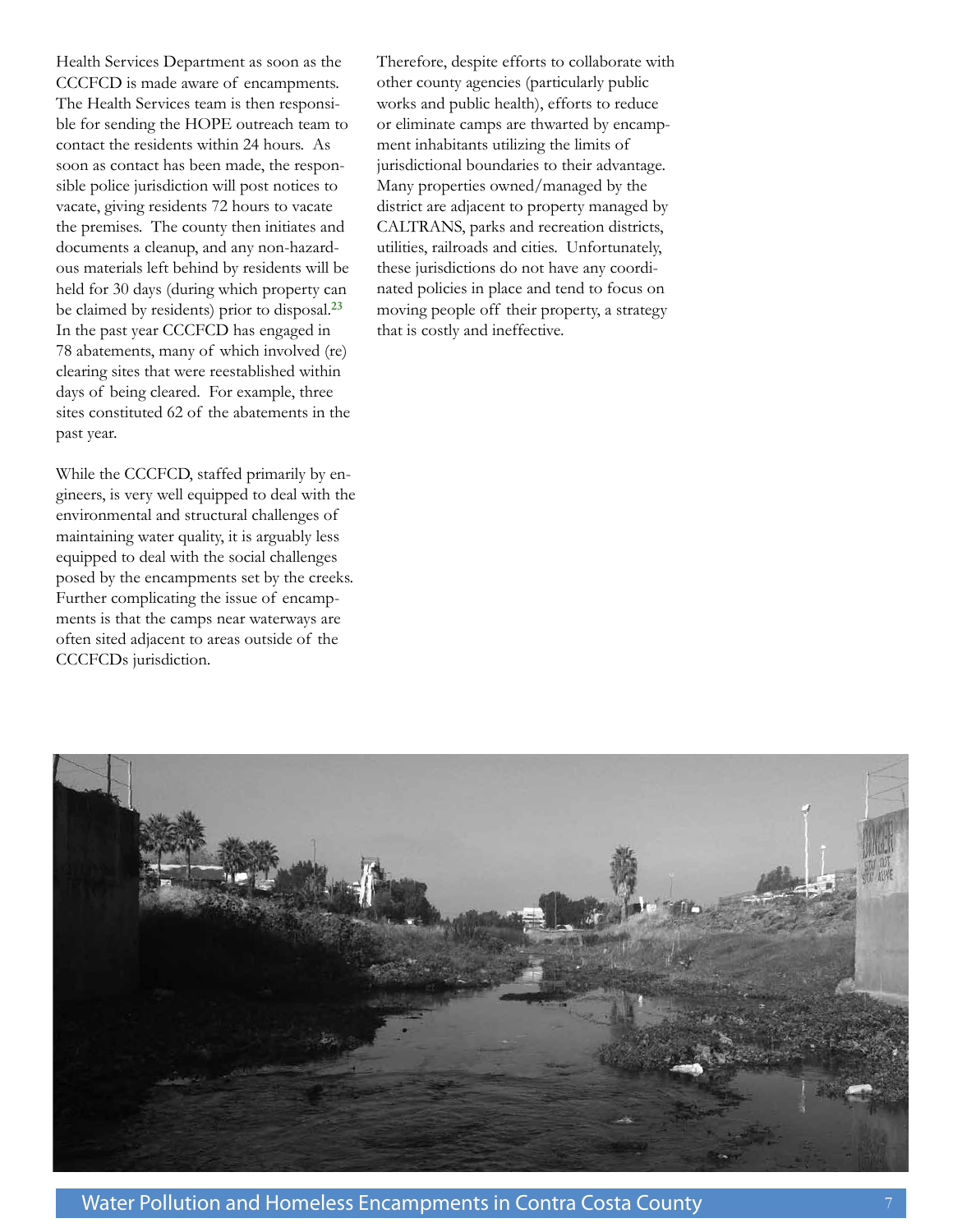Health Services Department as soon as the CCCFCD is made aware of encampments. The Health Services team is then responsible for sending the HOPE outreach team to contact the residents within 24 hours. As soon as contact has been made, the responsible police jurisdiction will post notices to vacate, giving residents 72 hours to vacate the premises. The county then initiates and documents a cleanup, and any non-hazardous materials left behind by residents will be held for 30 days (during which property can be claimed by residents) prior to disposal.**<sup>23</sup>** In the past year CCCFCD has engaged in 78 abatements, many of which involved (re) clearing sites that were reestablished within days of being cleared. For example, three sites constituted 62 of the abatements in the past year.

While the CCCFCD, staffed primarily by engineers, is very well equipped to deal with the environmental and structural challenges of maintaining water quality, it is arguably less equipped to deal with the social challenges posed by the encampments set by the creeks. Further complicating the issue of encampments is that the camps near waterways are often sited adjacent to areas outside of the CCCFCDs jurisdiction.

Therefore, despite efforts to collaborate with other county agencies (particularly public works and public health), efforts to reduce or eliminate camps are thwarted by encampment inhabitants utilizing the limits of jurisdictional boundaries to their advantage. Many properties owned/managed by the district are adjacent to property managed by CALTRANS, parks and recreation districts, utilities, railroads and cities. Unfortunately, these jurisdictions do not have any coordinated policies in place and tend to focus on moving people off their property, a strategy that is costly and ineffective.

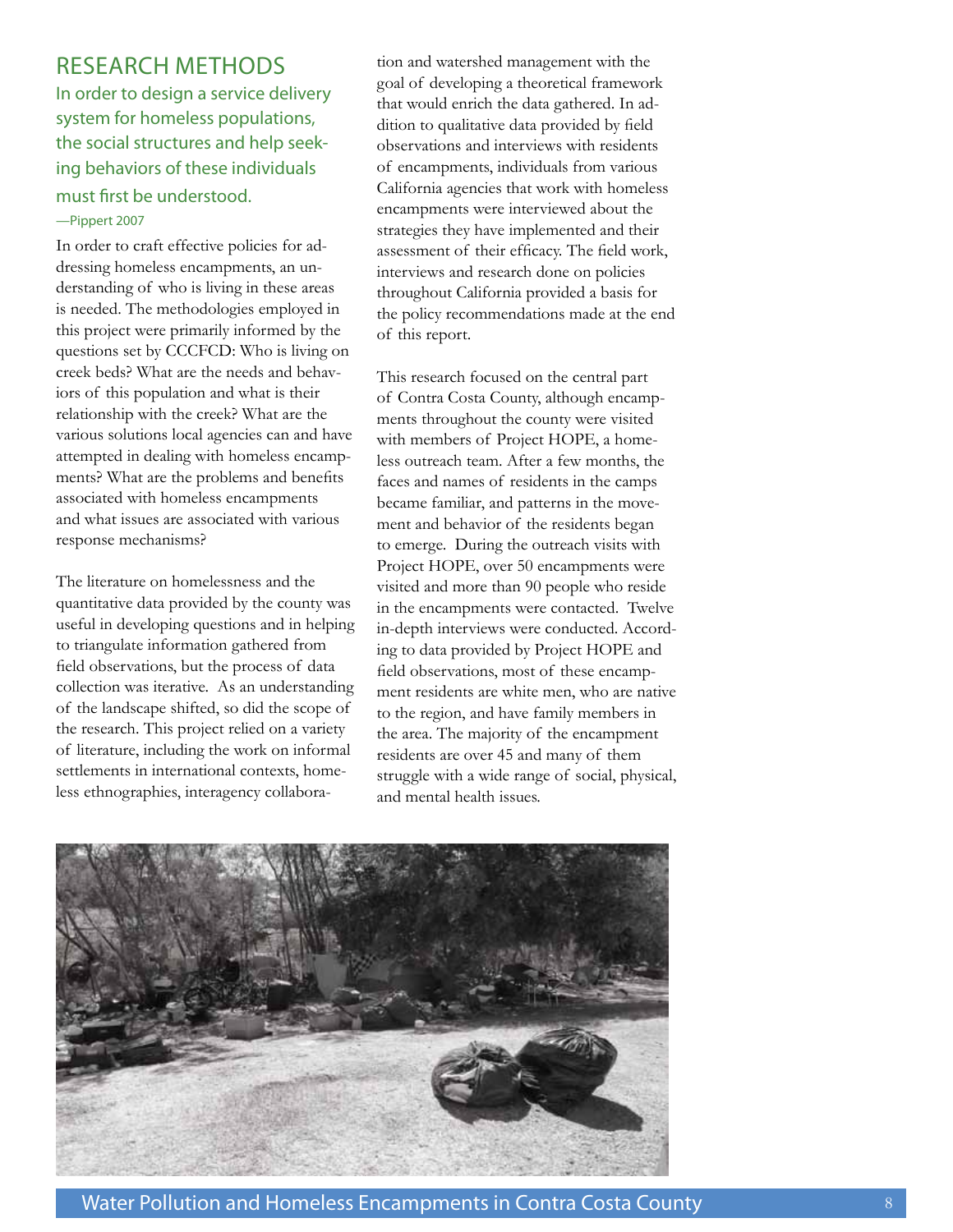#### REsearch Methods

In order to design a service delivery system for homeless populations, the social structures and help seeking behaviors of these individuals must first be understood.

#### —Pippert 2007

In order to craft effective policies for addressing homeless encampments, an understanding of who is living in these areas is needed. The methodologies employed in this project were primarily informed by the questions set by CCCFCD: Who is living on creek beds? What are the needs and behaviors of this population and what is their relationship with the creek? What are the various solutions local agencies can and have attempted in dealing with homeless encampments? What are the problems and benefits associated with homeless encampments and what issues are associated with various response mechanisms?

The literature on homelessness and the quantitative data provided by the county was useful in developing questions and in helping to triangulate information gathered from field observations, but the process of data collection was iterative. As an understanding of the landscape shifted, so did the scope of the research. This project relied on a variety of literature, including the work on informal settlements in international contexts, homeless ethnographies, interagency collabora-

tion and watershed management with the goal of developing a theoretical framework that would enrich the data gathered. In addition to qualitative data provided by field observations and interviews with residents of encampments, individuals from various California agencies that work with homeless encampments were interviewed about the strategies they have implemented and their assessment of their efficacy. The field work, interviews and research done on policies throughout California provided a basis for the policy recommendations made at the end of this report.

This research focused on the central part of Contra Costa County, although encampments throughout the county were visited with members of Project HOPE, a homeless outreach team. After a few months, the faces and names of residents in the camps became familiar, and patterns in the movement and behavior of the residents began to emerge. During the outreach visits with Project HOPE, over 50 encampments were visited and more than 90 people who reside in the encampments were contacted. Twelve in-depth interviews were conducted. According to data provided by Project HOPE and field observations, most of these encampment residents are white men, who are native to the region, and have family members in the area. The majority of the encampment residents are over 45 and many of them struggle with a wide range of social, physical, and mental health issues.



Water Pollution and Homeless Encampments in Contra Costa County **8** 8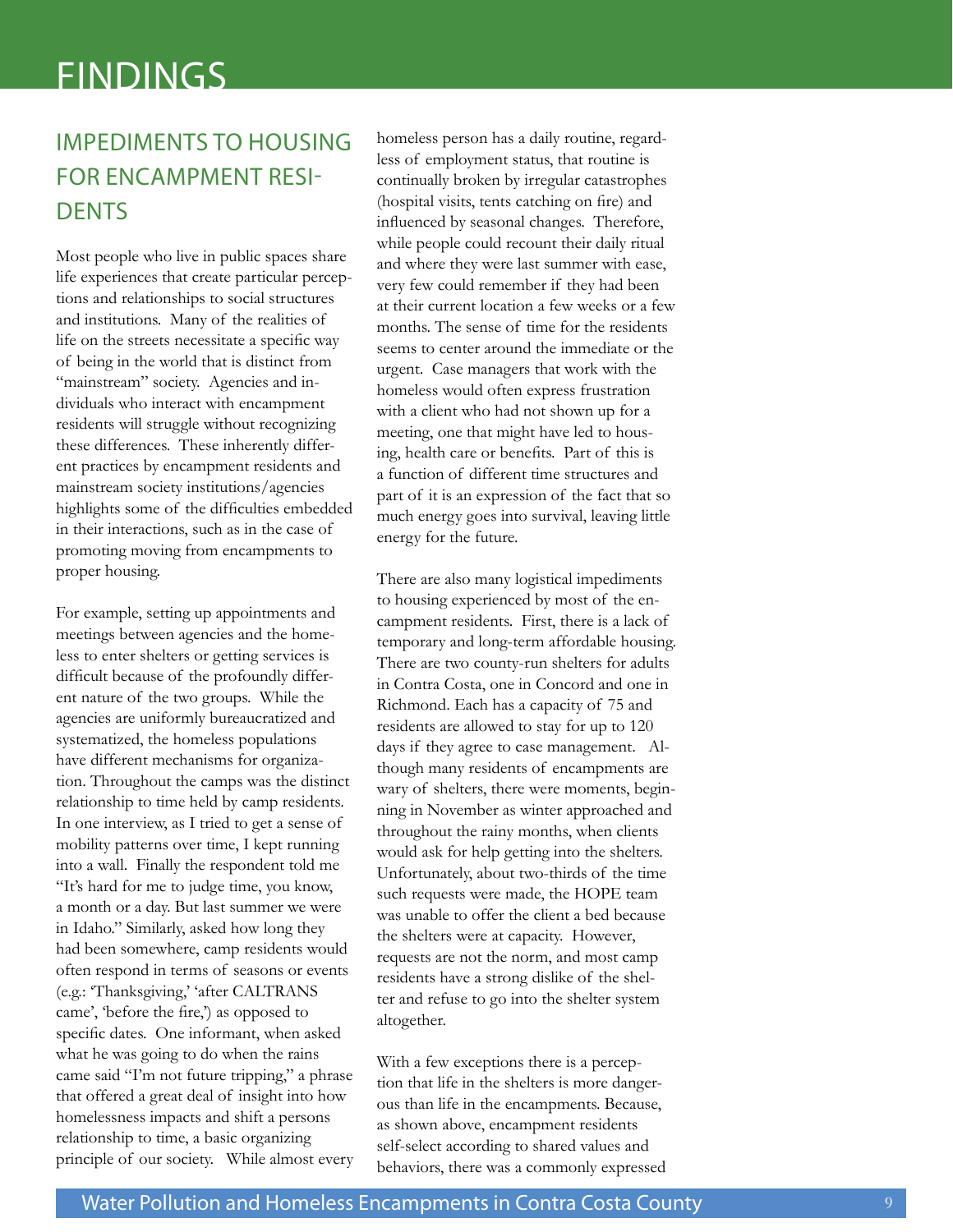# **FINDINGS**

## Impe diments to Housing FOR ENCAMPMENT RESI-**DENTS**

Most people who live in public spaces share life experiences that create particular percep tions and relationships to social structures and institutions. Many of the realities of life on the streets necessitate a specific way of being in the world that is distinct from "mainstream" society. Agencies and individuals who interact with encampment residents will struggle without recognizing these differences. These inherently differ ent practices by encampment residents and mainstream society institutions/agencies highlights some of the difficulties embedded in their interactions, such as in the case of promoting moving from encampments to proper housing.

For example, setting up appointments and meetings between agencies and the home less to enter shelters or getting services is difficult because of the profoundly differ ent nature of the two groups. While the agencies are uniformly bureaucratized and systematized, the homeless populations have different mechanisms for organiza tion. Throughout the camps was the distinct relationship to time held by camp residents. In one interview, as I tried to get a sense of mobility patterns over time, I kept running into a wall. Finally the respondent told me "It's hard for me to judge time, you know, a month or a day. But last summer we were in Idaho." Similarly, asked how long they had been somewhere, camp residents would often respond in terms of seasons or events (e.g.: 'Thanksgiving,' 'after C. came', 'before the fire,') as opposed to specific dates. One informant, when asked what he was going to do when the rains came said " I'm not future tripping," a phrase that offered a great deal of insight into how homelessness impacts and shift a persons relationship to time, a basic organizing principle of our society. While almost every

homeless person has a daily routine, regard less of employment status, that routine is continually broken by irregular catastrophes (hospital visits, tents catching on fire) and influenced by seasonal changes. Therefore, while people could recount their daily ritual and where they were last summer with ease, very few could remember if they had been at their current location a few weeks or a few months. The sense of time for the residents seems to center around the immediate or the urgent. Case managers that work with the homeless would often express frustration with a client who had not shown up for a meeting, one that might have led to hous ing, health care or benefits. Part of this is a function of different time structures and part of it is an expression of the fact that so much energy goes into survival, leaving little energy for the future.<br>There are also many logistical impediments

to housing experienced by most of the en campment residents. First, there is a lack of temporary and long-term affordable housing. There are two county-run shelters for adults in Contra Costa, one in Concord and one in Richmond. Each has a capacity of 75 and residents are allowed to stay for up to 120 days if they agree to case management. Although many residents of encampments are wary of shelters, there were moments, beginning in November as winter approached and throughout the rainy months, when clients would ask for help getting into the shelters. Unfortunately, about two-thirds of the time such requests were made, the HOPE team was unable to offer the client a bed because the shelters were at capacity. However, requests are not the norm, and most camp residents have a strong dislike of the shel ter and refuse to go into the shelter system altogether.

With a few exceptions there is a perception that life in the shelters is more danger ous than life in the encampments. Because, as shown above, encampment residents self-select according to shared values and behaviors, there was a commonly expressed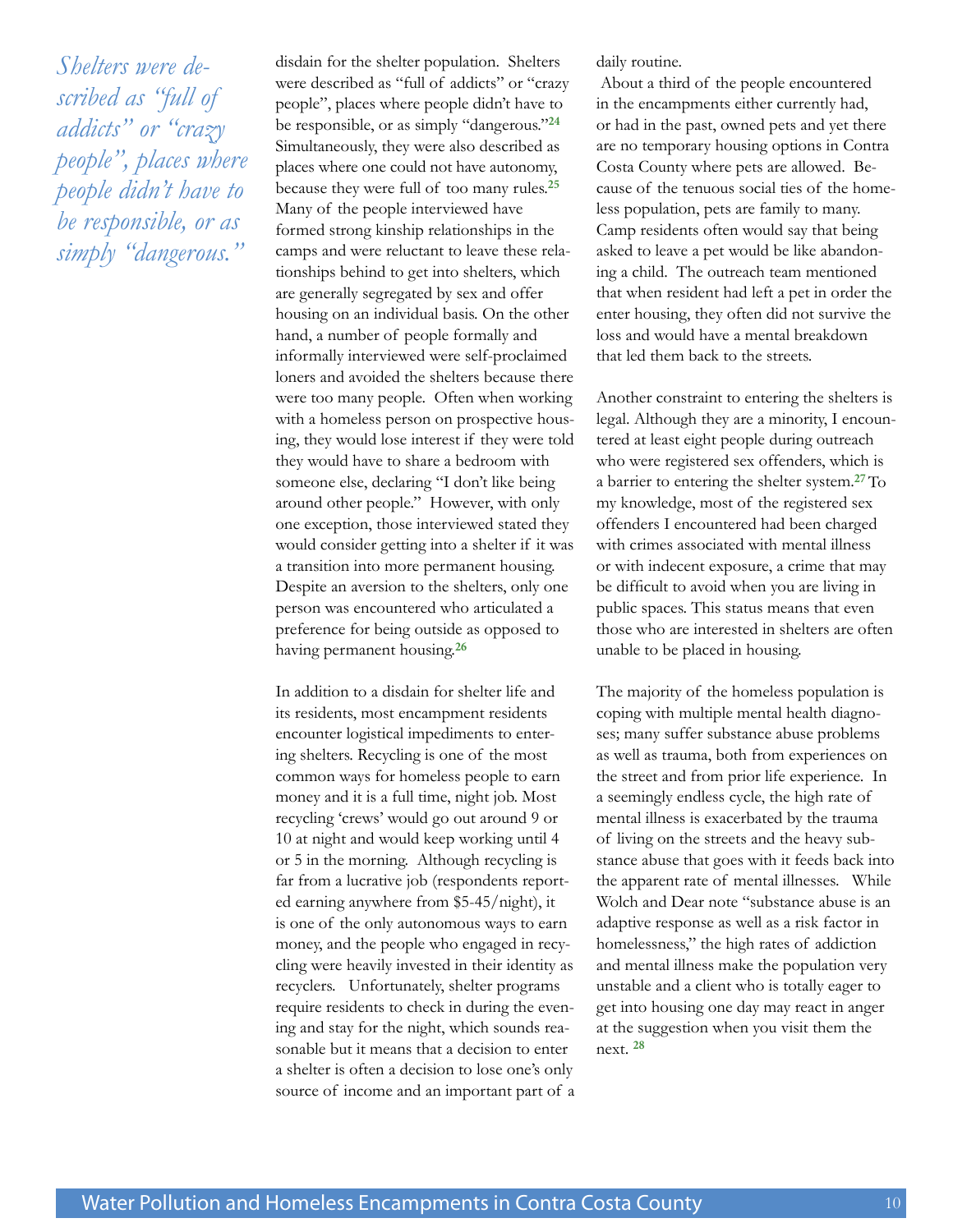*Shelters were described as "full of addicts" or "crazy people", places where people didn't have to be responsible, or as simply "dangerous."* 

disdain for the shelter population. Shelters were described as "full of addicts" or "crazy people", places where people didn't have to be responsible, or as simply "dangerous."**24** Simultaneously, they were also described as places where one could not have autonomy, because they were full of too many rules.**25**  Many of the people interviewed have formed strong kinship relationships in the camps and were reluctant to leave these relationships behind to get into shelters, which are generally segregated by sex and offer housing on an individual basis. On the other hand, a number of people formally and informally interviewed were self-proclaimed loners and avoided the shelters because there were too many people. Often when working with a homeless person on prospective housing, they would lose interest if they were told they would have to share a bedroom with someone else, declaring "I don't like being around other people." However, with only one exception, those interviewed stated they would consider getting into a shelter if it was a transition into more permanent housing. Despite an aversion to the shelters, only one person was encountered who articulated a preference for being outside as opposed to having permanent housing.**26**

In addition to a disdain for shelter life and its residents, most encampment residents encounter logistical impediments to entering shelters. Recycling is one of the most common ways for homeless people to earn money and it is a full time, night job. Most recycling 'crews' would go out around 9 or 10 at night and would keep working until 4 or 5 in the morning. Although recycling is far from a lucrative job (respondents reported earning anywhere from \$5-45/night), it is one of the only autonomous ways to earn money, and the people who engaged in recycling were heavily invested in their identity as recyclers. Unfortunately, shelter programs require residents to check in during the evening and stay for the night, which sounds reasonable but it means that a decision to enter a shelter is often a decision to lose one's only source of income and an important part of a daily routine.

About a third of the people encountered in the encampments either currently had, or had in the past, owned pets and yet there are no temporary housing options in Contra Costa County where pets are allowed. Because of the tenuous social ties of the homeless population, pets are family to many. Camp residents often would say that being asked to leave a pet would be like abandoning a child. The outreach team mentioned that when resident had left a pet in order the enter housing, they often did not survive the loss and would have a mental breakdown that led them back to the streets.

Another constraint to entering the shelters is legal. Although they are a minority, I encountered at least eight people during outreach who were registered sex offenders, which is a barrier to entering the shelter system.**27** To my knowledge, most of the registered sex offenders I encountered had been charged with crimes associated with mental illness or with indecent exposure, a crime that may be difficult to avoid when you are living in public spaces. This status means that even those who are interested in shelters are often unable to be placed in housing.

The majority of the homeless population is coping with multiple mental health diagnoses; many suffer substance abuse problems as well as trauma, both from experiences on the street and from prior life experience. In a seemingly endless cycle, the high rate of mental illness is exacerbated by the trauma of living on the streets and the heavy substance abuse that goes with it feeds back into the apparent rate of mental illnesses. While Wolch and Dear note "substance abuse is an adaptive response as well as a risk factor in homelessness," the high rates of addiction and mental illness make the population very unstable and a client who is totally eager to get into housing one day may react in anger at the suggestion when you visit them the next. **28**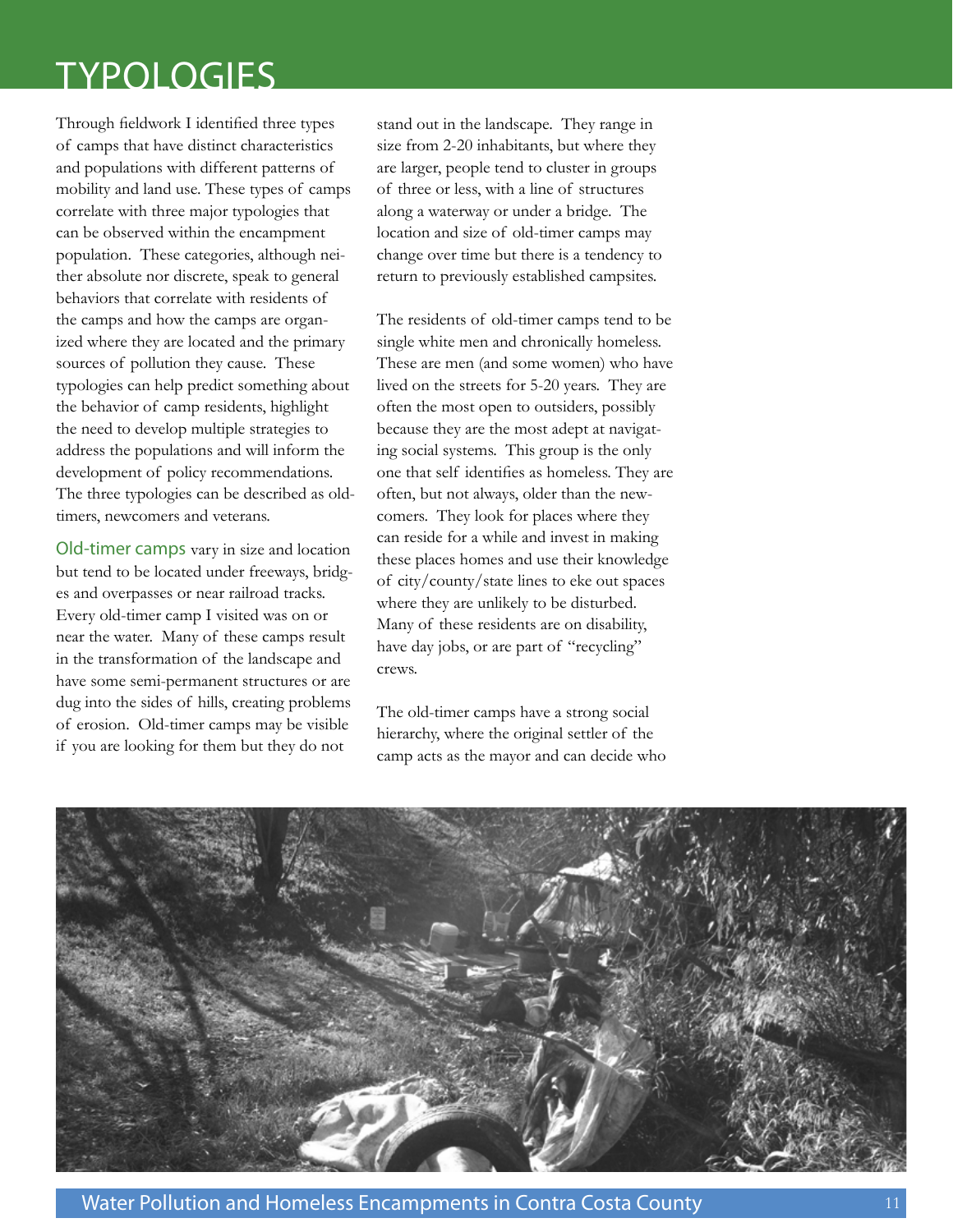# **TYPOLOGIES**

Through fieldwork I identified three types of camps that have distinct characteristics and populations with different patterns of mobility and land use. These types of camps correlate with three major typologies that can be observed within the encampment population. These categories, although neither absolute nor discrete, speak to general behaviors that correlate with residents of the camps and how the camps are organized where they are located and the primary sources of pollution they cause. These typologies can help predict something about the behavior of camp residents, highlight the need to develop multiple strategies to address the populations and will inform the development of policy recommendations. The three typologies can be described as oldtimers, newcomers and veterans.

Old-timer camps vary in size and location but tend to be located under freeways, bridges and overpasses or near railroad tracks. Every old-timer camp I visited was on or near the water. Many of these camps result in the transformation of the landscape and have some semi-permanent structures or are dug into the sides of hills, creating problems of erosion. Old-timer camps may be visible if you are looking for them but they do not

stand out in the landscape. They range in size from 2-20 inhabitants, but where they are larger, people tend to cluster in groups of three or less, with a line of structures along a waterway or under a bridge. The location and size of old-timer camps may change over time but there is a tendency to return to previously established campsites.

The residents of old-timer camps tend to be single white men and chronically homeless. These are men (and some women) who have lived on the streets for 5-20 years. They are often the most open to outsiders, possibly because they are the most adept at navigating social systems. This group is the only one that self identifies as homeless. They are often, but not always, older than the newcomers. They look for places where they can reside for a while and invest in making these places homes and use their knowledge of city/county/state lines to eke out spaces where they are unlikely to be disturbed. Many of these residents are on disability, have day jobs, or are part of "recycling" crews.

The old-timer camps have a strong social hierarchy, where the original settler of the camp acts as the mayor and can decide who

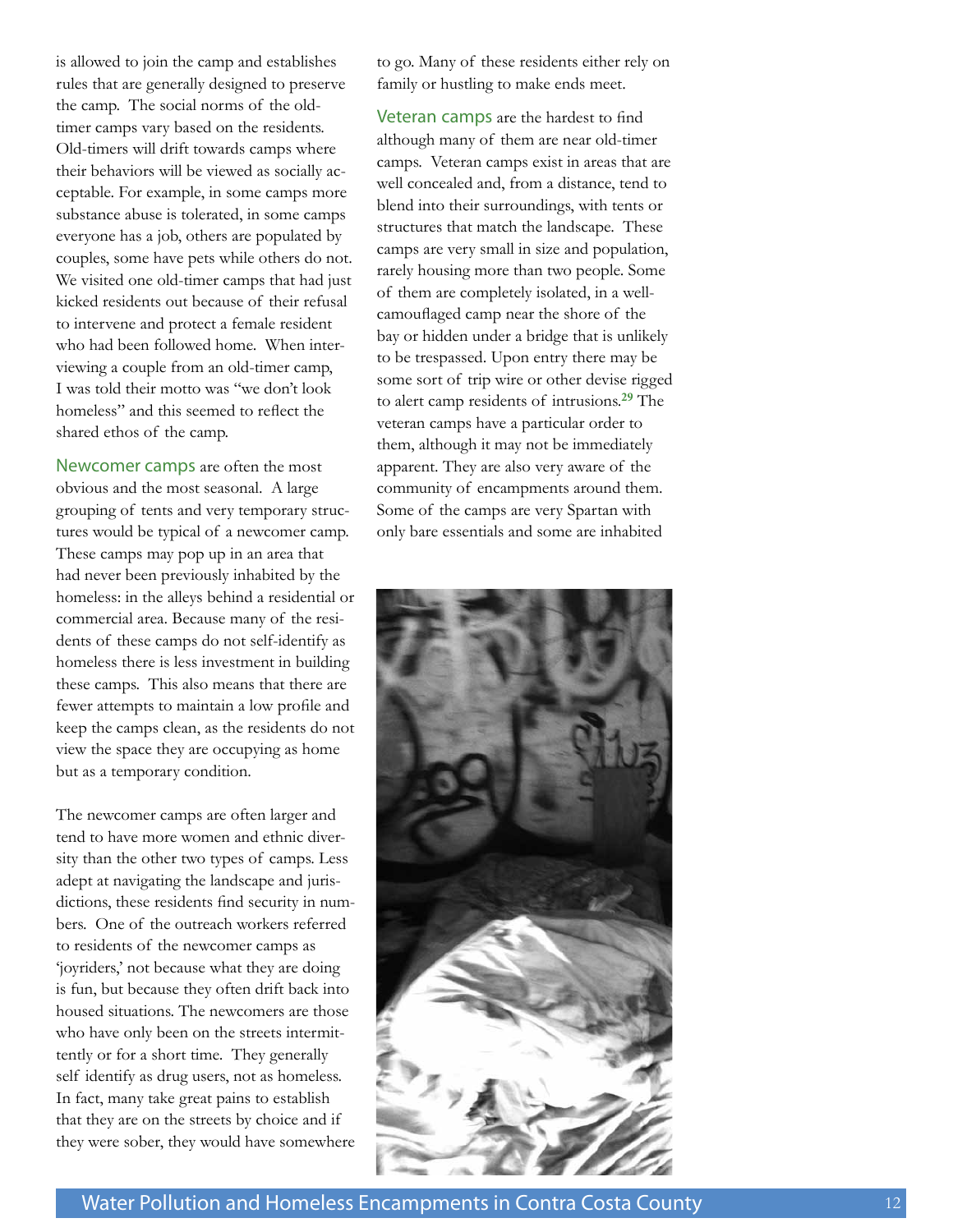is allowed to join the camp and establishes rules that are generally designed to preserve the camp. The social norms of the oldtimer camps vary based on the residents. Old-timers will drift towards camps where their behaviors will be viewed as socially ac ceptable. For example, in some camps more substance abuse is tolerated, in some camps everyone has a job, others are populated by couples, some have pets while others do not. We visited one old-timer camps that had just kicked residents out because of their refusal to intervene and protect a female resident who had been followed home. When interviewing a couple from an old-timer camp, I was told their motto was "we don't look homeless" and this seemed to reflect the shared ethos of the camp.

Newcomer camps are often the most obvious and the most seasonal. A large grouping of tents and very temporary struc tures would be typical of a newcomer camp. These camps may pop up in an area that had never been previously inhabited by the homeless: in the alleys behind a residential or commercial area. Because many of the resi dents of these camps do not self-identify as homeless there is less investment in building these camps. This also means that there are fewer attempts to maintain a low profile and keep the camps clean, as the residents do not view the space they are occupying as home but as a temporary condition.<br>The newcomer camps are often larger and

tend to have more women and ethnic diver sity than the other two types of camps. Less adept at navigating the landscape and juris dictions, these residents find security in numbers. One of the outreach workers referred to residents of the newcomer camps as 'joyriders,' not because what they are doing is fun, but because they often drift back into housed situations. The newcomers are those who have only been on the streets intermittently or for a short time. They generally self identify as drug users, not as homeless. In fact, many take great pains to establish that they are on the streets by choice and if they were sober, they would have somewhere

to go. Many of these residents either rely on family or hustling to make ends meet.

Veteran camps are the hardest to find although many of them are near old-timer camps. Veteran camps exist in areas that are well concealed and, from a distance, tend to blend into their surroundings, with tents or structures that match the landscape. These camps are very small in size and population, rarely housing more than two people. Some of them are completely isolated, in a wellcamouflaged camp near the shore of the bay or hidden under a bridge that is unlikely to be trespassed. Upon entry there may be some sort of trip wire or other devise rigged to alert camp residents of intrusions.**29** The veteran camps have a particular order to them, although it may not be immediately apparent. They are also very aware of the community of encampments around them. Some of the camps are very Spartan with only bare essentials and some are inhabited

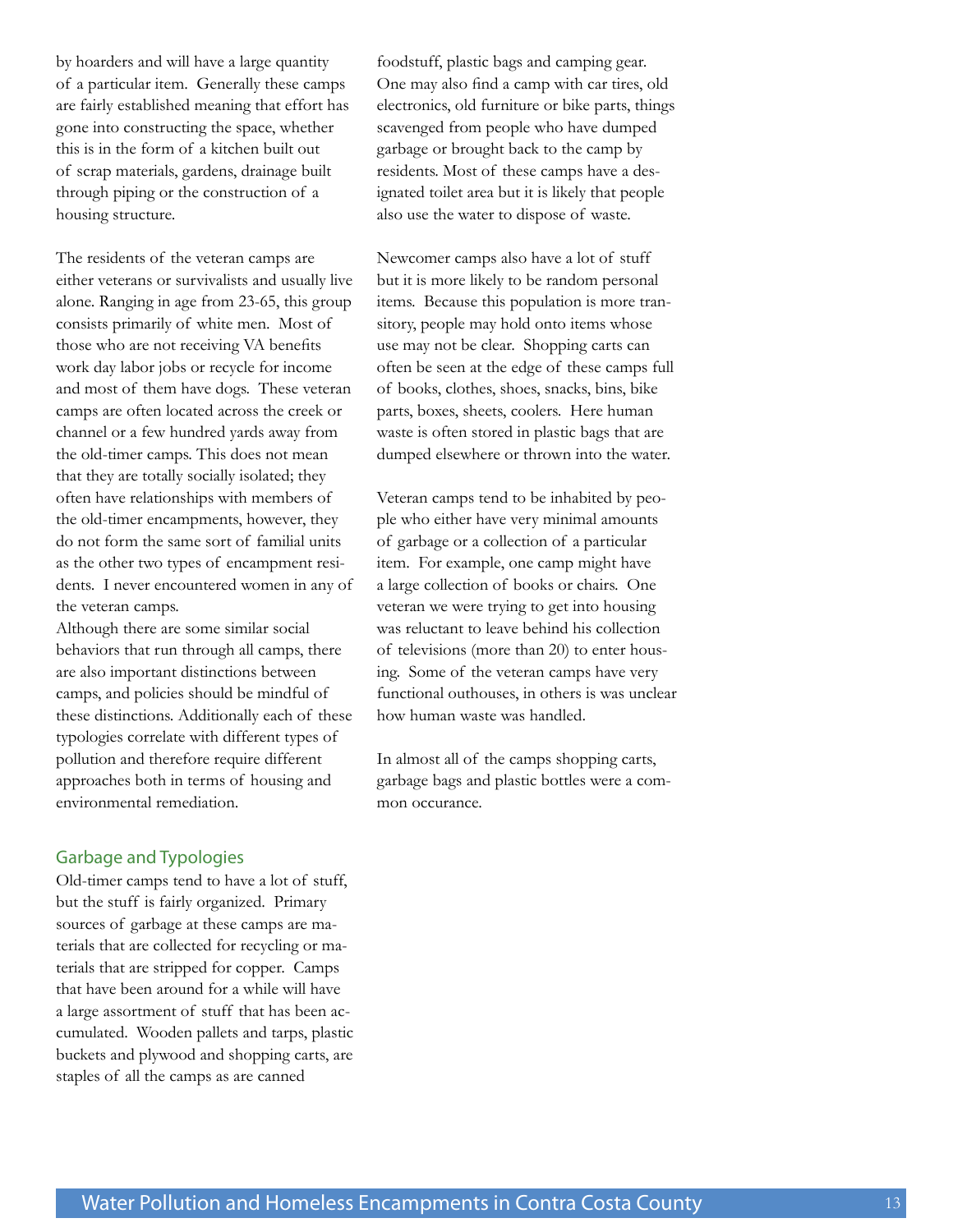by hoarders and will have a large quantity of a particular item. Generally these camps are fairly established meaning that effort has gone into constructing the space, whether this is in the form of a kitchen built out of scrap materials, gardens, drainage built through piping or the construction of a housing structure.

The residents of the veteran camps are either veterans or survivalists and usually live alone. Ranging in age from 23-65, this group consists primarily of white men. Most of those who are not receiving VA benefits work day labor jobs or recycle for income and most of them have dogs. These veteran camps are often located across the creek or channel or a few hundred yards away from the old-timer camps. This does not mean that they are totally socially isolated; they often have relationships with members of the old-timer encampments, however, they do not form the same sort of familial units as the other two types of encampment residents. I never encountered women in any of the veteran camps.

Although there are some similar social behaviors that run through all camps, there are also important distinctions between camps, and policies should be mindful of these distinctions. Additionally each of these typologies correlate with different types of pollution and therefore require different approaches both in terms of housing and environmental remediation.

#### Garbage and Typologies

Old-timer camps tend to have a lot of stuff, but the stuff is fairly organized. Primary sources of garbage at these camps are materials that are collected for recycling or materials that are stripped for copper. Camps that have been around for a while will have a large assortment of stuff that has been accumulated. Wooden pallets and tarps, plastic buckets and plywood and shopping carts, are staples of all the camps as are canned

foodstuff, plastic bags and camping gear. One may also find a camp with car tires, old electronics, old furniture or bike parts, things scavenged from people who have dumped garbage or brought back to the camp by residents. Most of these camps have a designated toilet area but it is likely that people also use the water to dispose of waste.

Newcomer camps also have a lot of stuff but it is more likely to be random personal items. Because this population is more transitory, people may hold onto items whose use may not be clear. Shopping carts can often be seen at the edge of these camps full of books, clothes, shoes, snacks, bins, bike parts, boxes, sheets, coolers. Here human waste is often stored in plastic bags that are dumped elsewhere or thrown into the water.

Veteran camps tend to be inhabited by people who either have very minimal amounts of garbage or a collection of a particular item. For example, one camp might have a large collection of books or chairs. One veteran we were trying to get into housing was reluctant to leave behind his collection of televisions (more than 20) to enter housing. Some of the veteran camps have very functional outhouses, in others is was unclear how human waste was handled.

In almost all of the camps shopping carts, garbage bags and plastic bottles were a common occurance.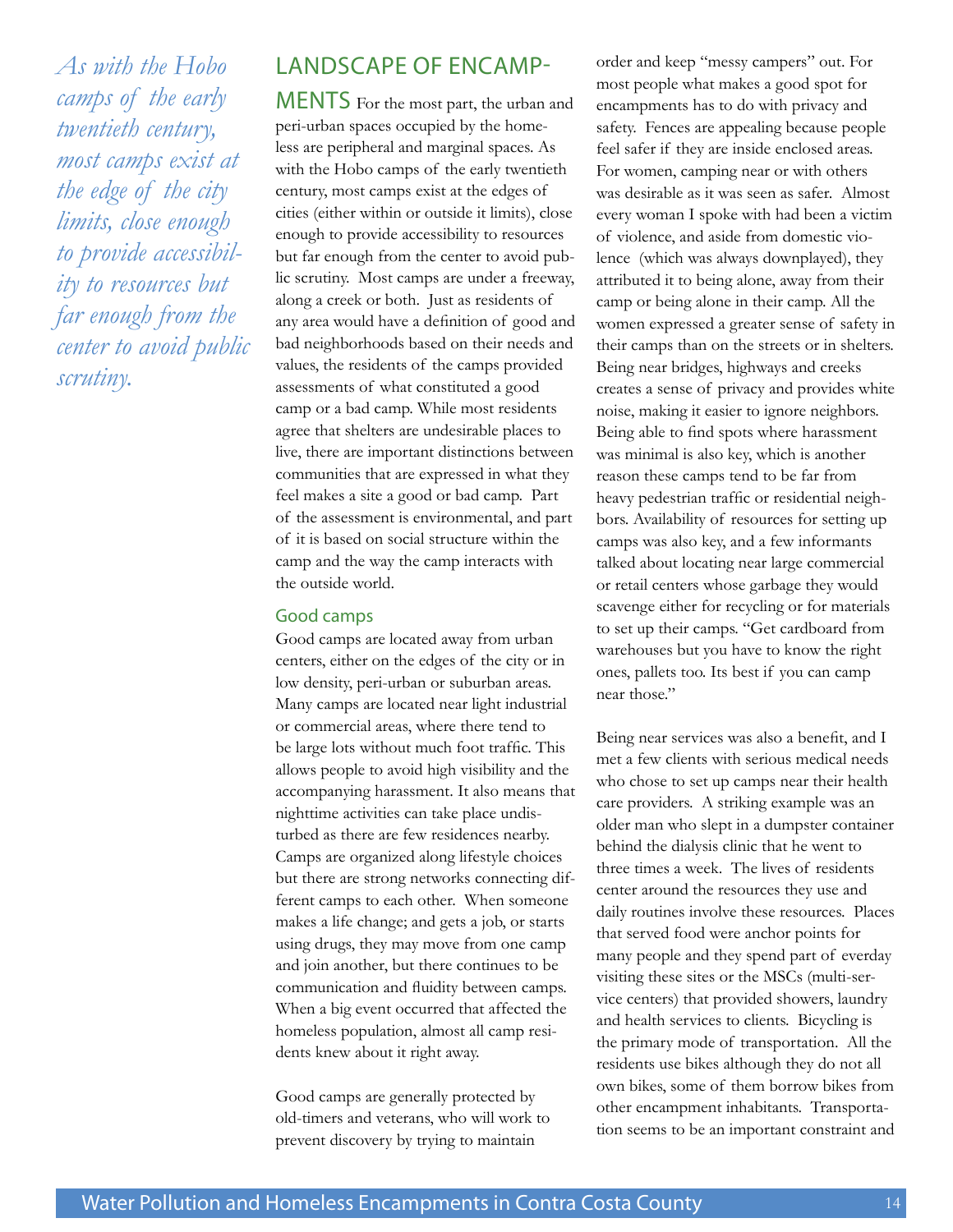*As with the Hobo camps of the early twentieth century, most camps exist at the edge of the city limits, close enough to provide accessibility to resources but far enough from the center to avoid public scrutiny.* 

#### Landscape of Encamp-

MENTS For the most part, the urban and peri-urban spaces occupied by the homeless are peripheral and marginal spaces. As with the Hobo camps of the early twentieth century, most camps exist at the edges of cities (either within or outside it limits), close enough to provide accessibility to resources but far enough from the center to avoid public scrutiny. Most camps are under a freeway, along a creek or both. Just as residents of any area would have a definition of good and bad neighborhoods based on their needs and values, the residents of the camps provided assessments of what constituted a good camp or a bad camp. While most residents agree that shelters are undesirable places to live, there are important distinctions between communities that are expressed in what they feel makes a site a good or bad camp. Part of the assessment is environmental, and part of it is based on social structure within the camp and the way the camp interacts with the outside world.

#### Good camps

Good camps are located away from urban centers, either on the edges of the city or in low density, peri-urban or suburban areas. Many camps are located near light industrial or commercial areas, where there tend to be large lots without much foot traffic. This allows people to avoid high visibility and the accompanying harassment. It also means that nighttime activities can take place undisturbed as there are few residences nearby. Camps are organized along lifestyle choices but there are strong networks connecting different camps to each other. When someone makes a life change; and gets a job, or starts using drugs, they may move from one camp and join another, but there continues to be communication and fluidity between camps. When a big event occurred that affected the homeless population, almost all camp residents knew about it right away.

Good camps are generally protected by old-timers and veterans, who will work to prevent discovery by trying to maintain

order and keep "messy campers" out. For most people what makes a good spot for encampments has to do with privacy and safety. Fences are appealing because people feel safer if they are inside enclosed areas. For women, camping near or with others was desirable as it was seen as safer. Almost every woman I spoke with had been a victim of violence, and aside from domestic violence (which was always downplayed), they attributed it to being alone, away from their camp or being alone in their camp. All the women expressed a greater sense of safety in their camps than on the streets or in shelters. Being near bridges, highways and creeks creates a sense of privacy and provides white noise, making it easier to ignore neighbors. Being able to find spots where harassment was minimal is also key, which is another reason these camps tend to be far from heavy pedestrian traffic or residential neighbors. Availability of resources for setting up camps was also key, and a few informants talked about locating near large commercial or retail centers whose garbage they would scavenge either for recycling or for materials to set up their camps. "Get cardboard from warehouses but you have to know the right ones, pallets too. Its best if you can camp near those."

Being near services was also a benefit, and I met a few clients with serious medical needs who chose to set up camps near their health care providers. A striking example was an older man who slept in a dumpster container behind the dialysis clinic that he went to three times a week. The lives of residents center around the resources they use and daily routines involve these resources. Places that served food were anchor points for many people and they spend part of everday visiting these sites or the MSCs (multi-service centers) that provided showers, laundry and health services to clients. Bicycling is the primary mode of transportation. All the residents use bikes although they do not all own bikes, some of them borrow bikes from other encampment inhabitants. Transportation seems to be an important constraint and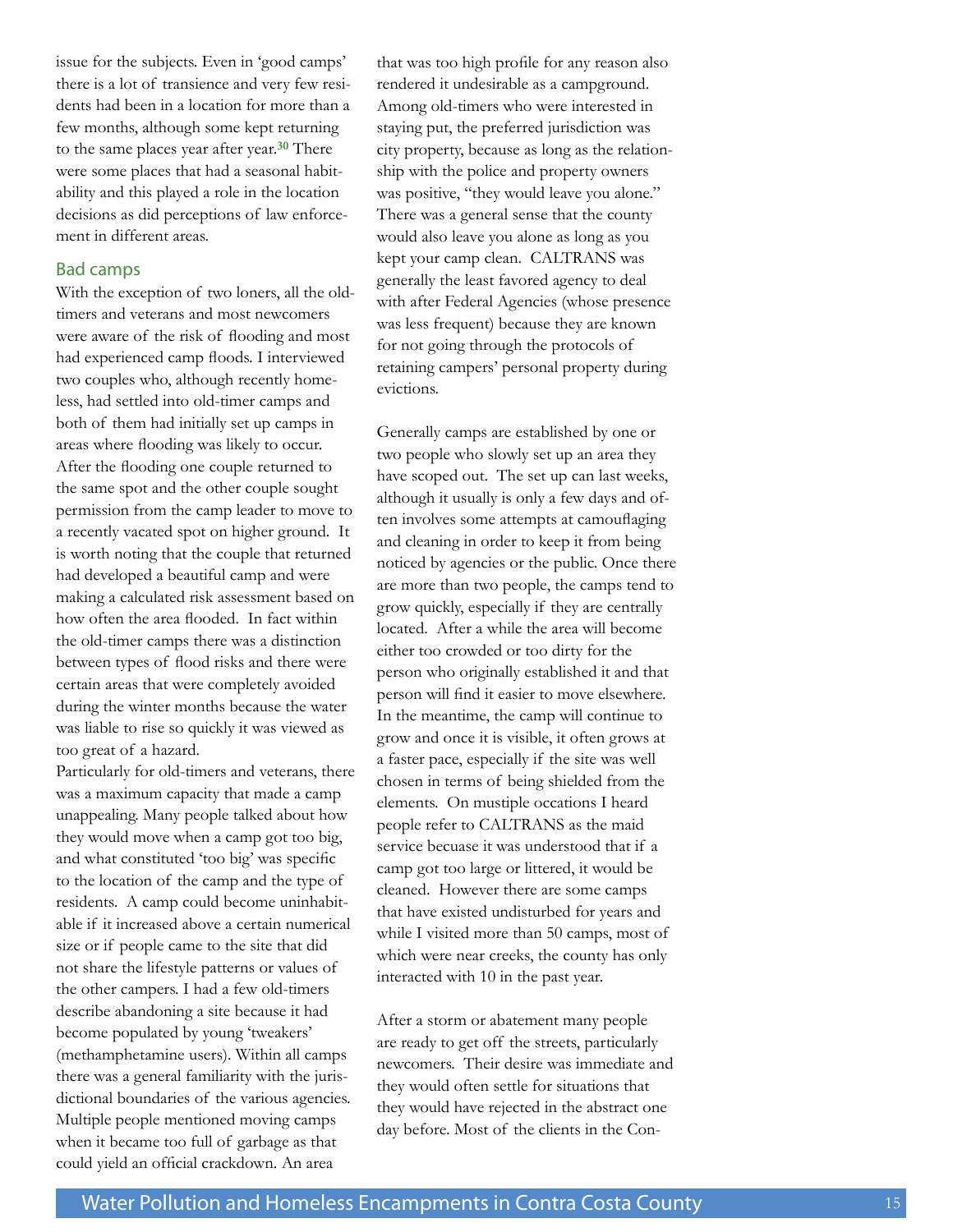issue for the subjects. Even in 'good camps' there is a lot of transience and very few resi dents had been in a location for more than a few months, although some kept returning to the same places year after year.**30** There were some places that had a seasonal habit ability and this played a role in the location decisions as did perceptions of law enforcement in different areas.

#### Bad camps

With the exception of two loners, all the oldtimers and veterans and most newcomers were aware of the risk of flooding and most had experienced camp floods. I interviewed two couples who, although recently home less, had settled into old-timer camps and both of them had initially set up camps in areas where flooding was likely to occur. After the flooding one couple returned to the same spot and the other couple sought permission from the camp leader to move to a recently vacated spot on higher ground. It is worth noting that the couple that returned had developed a beautiful camp and were making a calculated risk assessment based on how often the area flooded. In fact within the old-timer camps there was a distinction between types of flood risks and there were certain areas that were completely avoided during the winter months because the water was liable to rise so quickly it was viewed as too great of a hazard.

Particularly for old-timers and veterans, there was a maximum capacity that made a camp unappealing. Many people talked about how they would move when a camp got too big, and what constituted 'too big' was specific to the location of the camp and the type of residents. A camp could become uninhabit able if it increased above a certain numerical size or if people came to the site that did not share the lifestyle patterns or values of the other campers. I had a few old-timers describe abandoning a site because it had become populated by young 'tweakers' (methamphetamine users). Within all camps there was a general familiarity with the juris dictional boundaries of the various agencies. Multiple people mentioned moving camps when it became too full of garbage as that could yield an official crackdown. An area

that was too high profile for any reason also rendered it undesirable as a campground. Among old-timers who were interested in staying put, the preferred jurisdiction was city property, because as long as the relation ship with the police and property owners was positive, "they would leave you alone." There was a general sense that the county would also leave you alone as long as you kept your camp clean. CALTRANS was generally the least favored agency to deal with after Federal Agencies (whose presence was less frequent) because they are known for not going through the protocols of retaining campers' personal property during evictions.

Generally camps are established by one or two people who slowly set up an area they have scoped out. The set up can last weeks, although it usually is only a few days and often involves some attempts at camouflaging and cleaning in order to keep it from being noticed by agencies or the public. Once there are more than two people, the camps tend to grow quickly, especially if they are centrally located. After a while the area will become either too crowded or too dirty for the person who originally established it and that person will find it easier to move elsewhere. In the meantime, the camp will continue to grow and once it is visible, it often grows at a faster pace, especially if the site was well chosen in terms of being shielded from the elements. On mustiple occations I heard people refer to CALTRANS as the maid service becuase it was understood that if a camp got too large or littered, it would be cleaned. However there are some camps that have existed undisturbed for years and while I visited more than 50 camps, most of which were near creeks, the county has only interacted with 10 in the past year. After a storm or abatement many people

are ready to get off the streets, particularly newcomers. Their desire was immediate and they would often settle for situations that they would have rejected in the abstract one day before. Most of the clients in the Con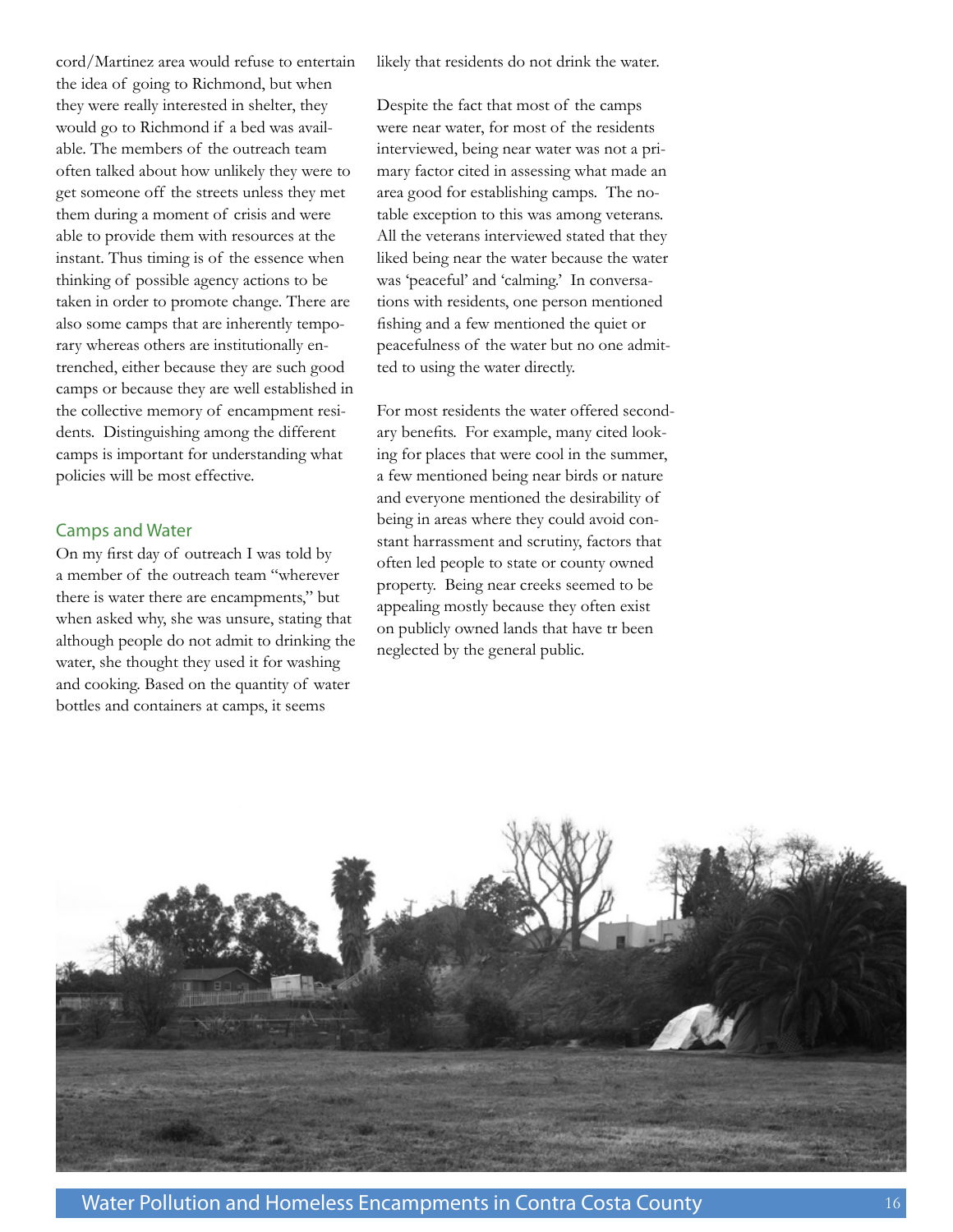cord/Martinez area would refuse to entertain the idea of going to Richmond, but when they were really interested in shelter, they would go to Richmond if a bed was available. The members of the outreach team often talked about how unlikely they were to get someone off the streets unless they met them during a moment of crisis and were able to provide them with resources at the instant. Thus timing is of the essence when thinking of possible agency actions to be taken in order to promote change. There are also some camps that are inherently temporary whereas others are institutionally entrenched, either because they are such good camps or because they are well established in the collective memory of encampment residents. Distinguishing among the different camps is important for understanding what policies will be most effective.

#### Camps and Water

On my first day of outreach I was told by a member of the outreach team "wherever there is water there are encampments," but when asked why, she was unsure, stating that although people do not admit to drinking the water, she thought they used it for washing and cooking. Based on the quantity of water bottles and containers at camps, it seems

likely that residents do not drink the water.

Despite the fact that most of the camps were near water, for most of the residents interviewed, being near water was not a primary factor cited in assessing what made an area good for establishing camps. The notable exception to this was among veterans. All the veterans interviewed stated that they liked being near the water because the water was 'peaceful' and 'calming.' In conversations with residents, one person mentioned fishing and a few mentioned the quiet or peacefulness of the water but no one admitted to using the water directly.

For most residents the water offered secondary benefits. For example, many cited looking for places that were cool in the summer, a few mentioned being near birds or nature and everyone mentioned the desirability of being in areas where they could avoid constant harrassment and scrutiny, factors that often led people to state or county owned property. Being near creeks seemed to be appealing mostly because they often exist on publicly owned lands that have tr been neglected by the general public.



Water Pollution and Homeless Encampments in Contra Costa County 16 16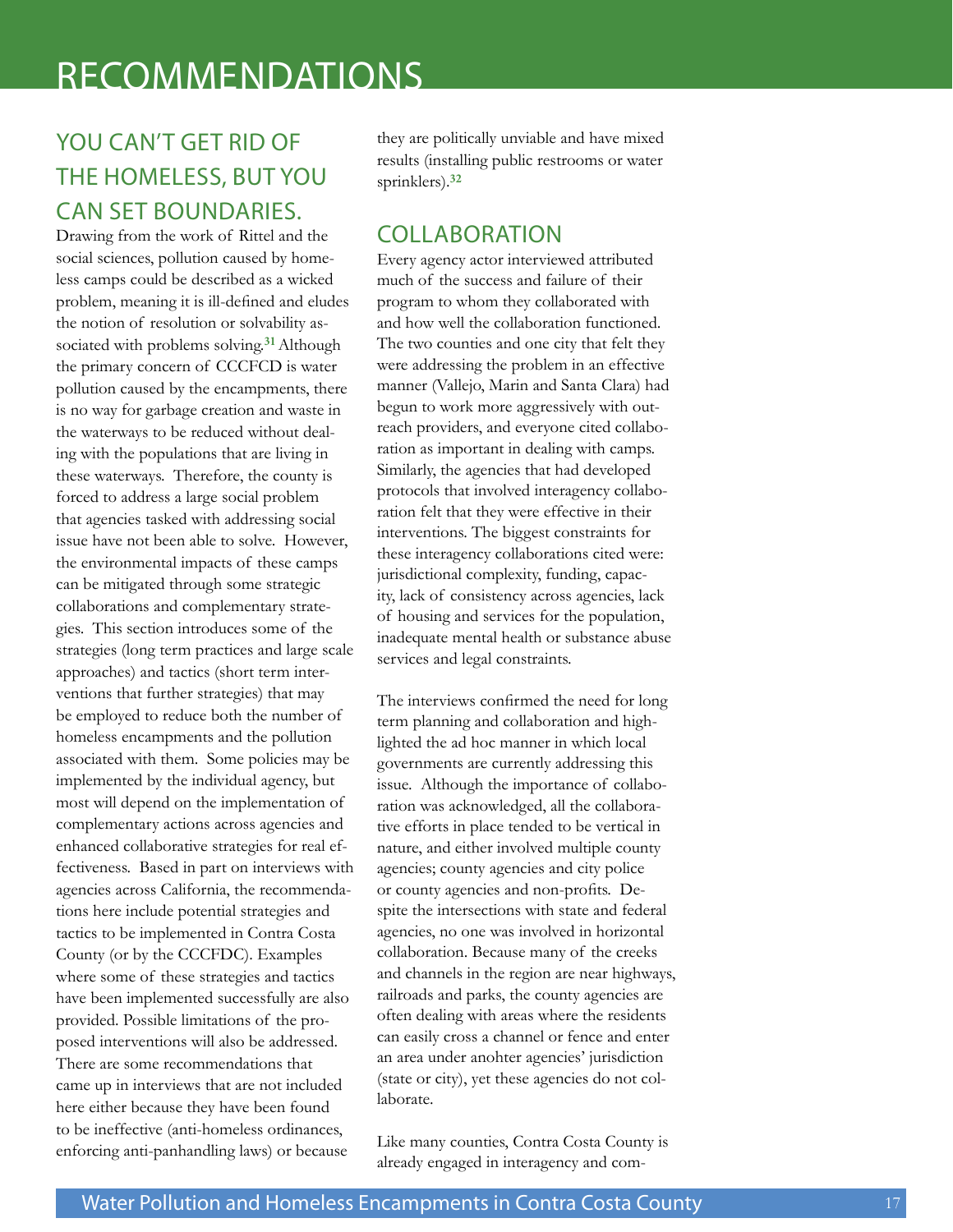## YOU CAN'T GET RID OF t he homeless, but you can set boun daries.

Drawing from the work of Rittel and the social sciences, pollution caused by homeless camps could be described as a wicked problem, meaning it is ill-defined and eludes the notion of resolution or solvability as sociated with problems solving.**31**  Although the primary concern of CCC FCD is water pollution caused by the encampments, there is no way for garbage creation and waste in the waterways to be reduced without deal ing with the populations that are living in these waterways. Therefore, the county is forced to address a large social problem that agencies tasked with addressing social issue have not been able to solve. However, the environmental impacts of these camps can be mitigated through some strategic collaborations and complementary strate gies. This section introduces some of the strategies (long term practices and large scale approaches) and tactics (short term inter ventions that further strategies) that may be employed to reduce both the number of homeless encampments and the pollution associated with them. Some policies may be implemented by the individual agency, but most will depend on the implementation of complementary actions across agencies and enhanced collaborative strategies for real effectiveness. Based in part on interviews with agencies across California, the recommenda tions here include potential strategies and tactics to be implemented in Contra Costa County (or by the CCC FDC). Examples where some of these strategies and tactics have been implemented successfully are also provided. Possible limitations of the pro posed interventions will also be addressed. There are some recommendations that came up in interviews that are not included here either because they have been found to be ineffective (anti-homeless ordinances, **RECOMMENDATIONS**<br>
YOU CAN'T GET RID OF they are they are they are they are the momentage from the work of Rited and the COL<br>
Drawing from the work of Rited and the COL productions, meaning from the work of Rited and the s

they are politically unviable and have mixed results (installing public restrooms or water sprinklers).**32**

#### **COLLABORATION**

Every agency actor interviewed attributed much of the success and failure of their program to whom they collaborated with and how well the collaboration functioned. The two counties and one city that felt they were addressing the problem in an effective manner (Vallejo, Marin and Santa Clara) had begun to work more aggressively with out reach providers, and everyone cited collabo ration as important in dealing with camps. Similarly, the agencies that had developed protocols that involved interagency collabo ration felt that they were effective in their interventions. The biggest constraints for these interagency collaborations cited were: jurisdictional complexity, funding, capac ity, lack of consistency across agencies, lack of housing and services for the population, inadequate mental health or substance abuse services and legal constraints.

The interviews confirmed the need for long term planning and collaboration and high lighted the ad hoc manner in which local governments are currently addressing this issue. Although the importance of collabo ration was acknowledged, all the collabora tive efforts in place tended to be vertical in nature, and either involved multiple county agencies; county agencies and city police or county agencies and non-profits. De spite the intersections with state and federal agencies, no one was involved in horizontal collaboration. Because many of the creeks and channels in the region are near highways, railroads and parks, the county agencies are often dealing with areas where the residents can easily cross a channel or fence and enter an area under anohter agencies' jurisdiction (state or city), yet these agencies do not col -

laborate.<br>Like many counties, Contra Costa County is already engaged in interagency and com -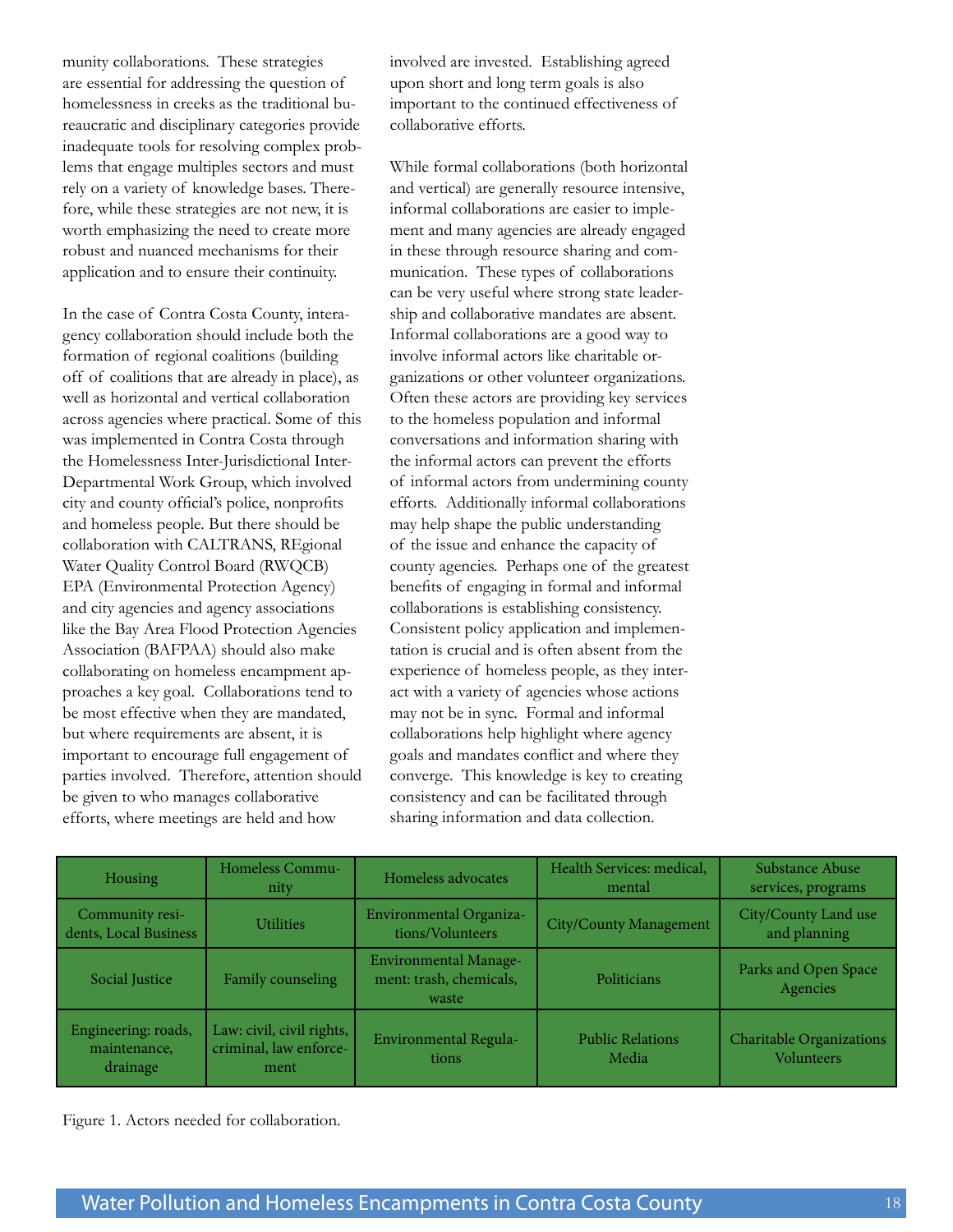munity collaborations. These strategies are essential for addressing the question of homelessness in creeks as the traditional bureaucratic and disciplinary categories provide inadequate tools for resolving complex problems that engage multiples sectors and must rely on a variety of knowledge bases. Therefore, while these strategies are not new, it is worth emphasizing the need to create more robust and nuanced mechanisms for their application and to ensure their continuity.

In the case of Contra Costa County, interagency collaboration should include both the formation of regional coalitions (building off of coalitions that are already in place), as well as horizontal and vertical collaboration across agencies where practical. Some of this was implemented in Contra Costa through the Homelessness Inter-Jurisdictional Inter-Departmental Work Group, which involved city and county official's police, nonprofits and homeless people. But there should be collaboration with CALTRANS, REgional Water Quality Control Board (RWQCB) EPA (Environmental Protection Agency) and city agencies and agency associations like the Bay Area Flood Protection Agencies Association (BAFPAA) should also make collaborating on homeless encampment approaches a key goal. Collaborations tend to be most effective when they are mandated, but where requirements are absent, it is important to encourage full engagement of parties involved. Therefore, attention should be given to who manages collaborative efforts, where meetings are held and how

involved are invested. Establishing agreed upon short and long term goals is also important to the continued effectiveness of collaborative efforts.

While formal collaborations (both horizontal and vertical) are generally resource intensive, informal collaborations are easier to implement and many agencies are already engaged in these through resource sharing and communication. These types of collaborations can be very useful where strong state leadership and collaborative mandates are absent. Informal collaborations are a good way to involve informal actors like charitable organizations or other volunteer organizations. Often these actors are providing key services to the homeless population and informal conversations and information sharing with the informal actors can prevent the efforts of informal actors from undermining county efforts. Additionally informal collaborations may help shape the public understanding of the issue and enhance the capacity of county agencies. Perhaps one of the greatest benefits of engaging in formal and informal collaborations is establishing consistency. Consistent policy application and implementation is crucial and is often absent from the experience of homeless people, as they interact with a variety of agencies whose actions may not be in sync. Formal and informal collaborations help highlight where agency goals and mandates conflict and where they converge. This knowledge is key to creating consistency and can be facilitated through sharing information and data collection.

| <b>Housing</b>                                  | Homeless Commu-<br>nity                                     | Homeless advocates                                               | Health Services: medical,<br>mental | Substance Abuse<br>services, programs         |
|-------------------------------------------------|-------------------------------------------------------------|------------------------------------------------------------------|-------------------------------------|-----------------------------------------------|
| Community resi-<br>dents, Local Business        | <b>Utilities</b>                                            | Environmental Organiza-<br>tions/Volunteers                      | <b>City/County Management</b>       | City/County Land use<br>and planning          |
| Social Justice                                  | Family counseling                                           | <b>Environmental Manage-</b><br>ment: trash, chemicals,<br>waste | Politicians                         | Parks and Open Space<br>Agencies              |
| Engineering: roads,<br>maintenance,<br>drainage | Law: civil, civil rights,<br>criminal, law enforce-<br>ment | <b>Environmental Regula-</b><br>tions                            | <b>Public Relations</b><br>Media    | <b>Charitable Organizations</b><br>Volunteers |

Figure 1. Actors needed for collaboration.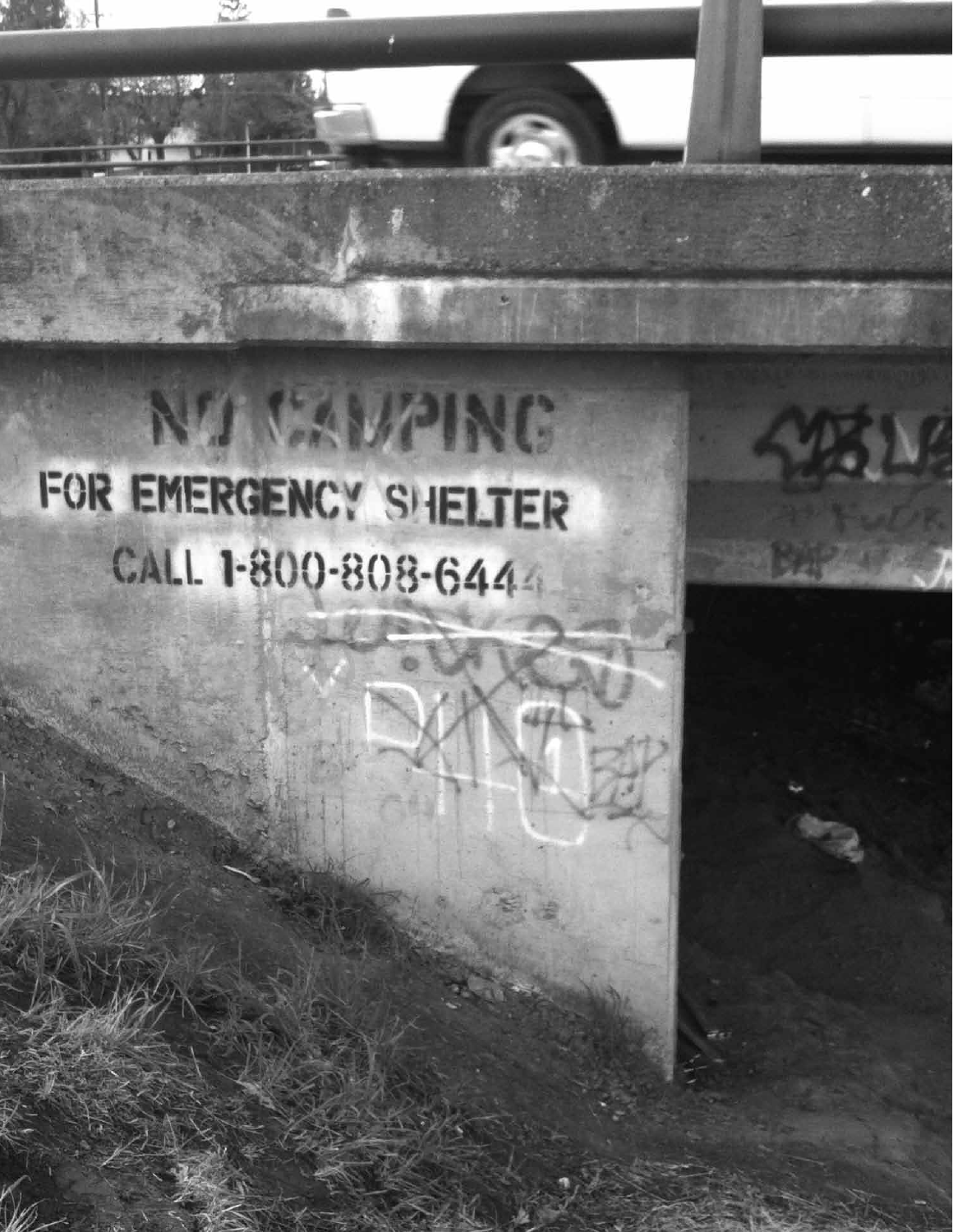# NO GAMPING FOR EMERGENCY SHELTER CALL 1-800-808-6444

والبليخ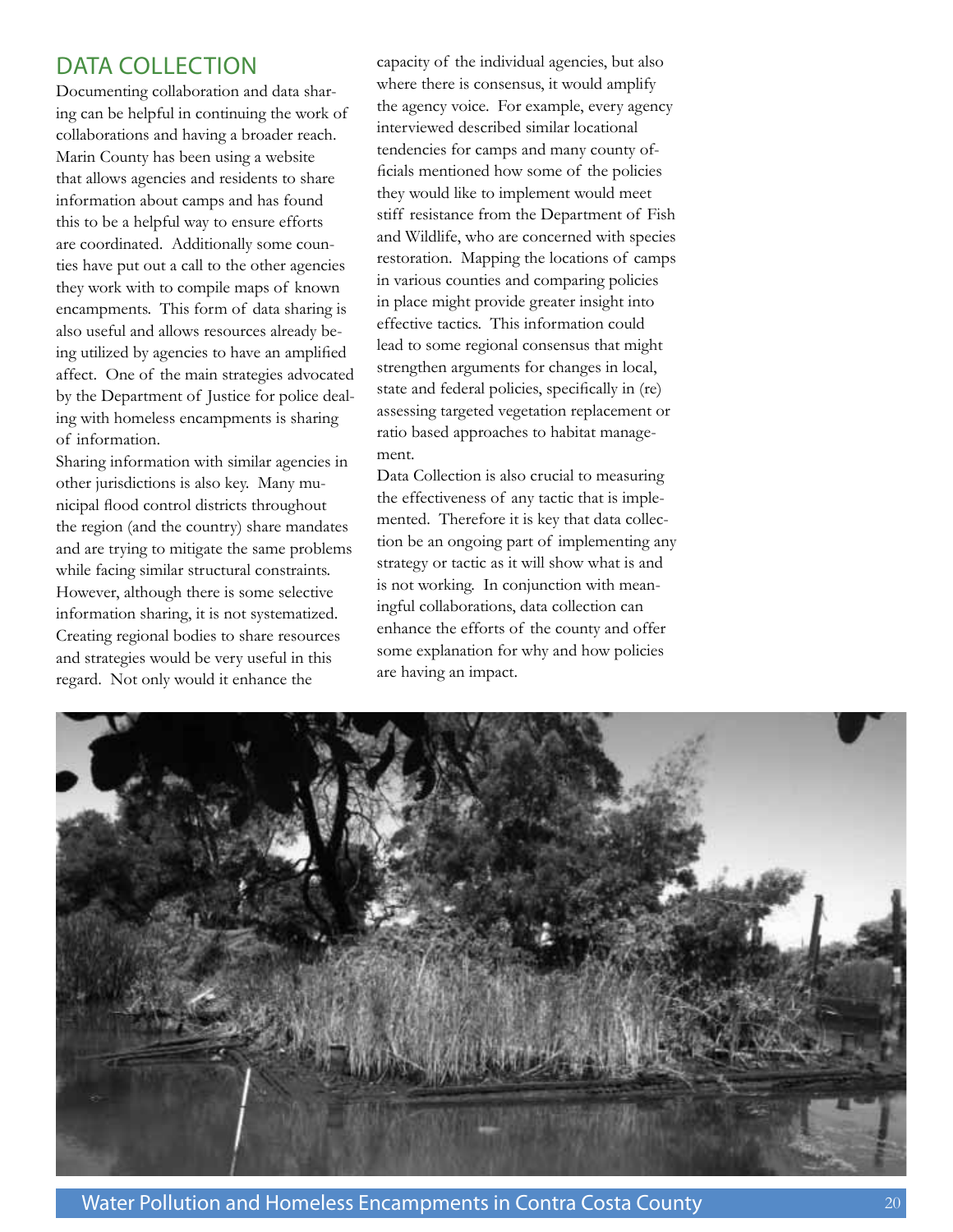#### DATA COLLECTION

Documenting collaboration and data sharing can be helpful in continuing the work of collaborations and having a broader reach. Marin County has been using a website that allows agencies and residents to share information about camps and has found this to be a helpful way to ensure efforts are coordinated. Additionally some counties have put out a call to the other agencies they work with to compile maps of known encampments. This form of data sharing is also useful and allows resources already being utilized by agencies to have an amplified affect. One of the main strategies advocated by the Department of Justice for police dealing with homeless encampments is sharing of information.

Sharing information with similar agencies in other jurisdictions is also key. Many municipal flood control districts throughout the region (and the country) share mandates and are trying to mitigate the same problems while facing similar structural constraints. However, although there is some selective information sharing, it is not systematized. Creating regional bodies to share resources and strategies would be very useful in this regard. Not only would it enhance the

capacity of the individual agencies, but also where there is consensus, it would amplify the agency voice. For example, every agency interviewed described similar locational tendencies for camps and many county officials mentioned how some of the policies they would like to implement would meet stiff resistance from the Department of Fish and Wildlife, who are concerned with species restoration. Mapping the locations of camps in various counties and comparing policies in place might provide greater insight into effective tactics. This information could lead to some regional consensus that might strengthen arguments for changes in local, state and federal policies, specifically in (re) assessing targeted vegetation replacement or ratio based approaches to habitat management.

Data Collection is also crucial to measuring the effectiveness of any tactic that is implemented. Therefore it is key that data collection be an ongoing part of implementing any strategy or tactic as it will show what is and is not working. In conjunction with meaningful collaborations, data collection can enhance the efforts of the county and offer some explanation for why and how policies are having an impact.



Water Pollution and Homeless Encampments in Contra Costa County **20** 20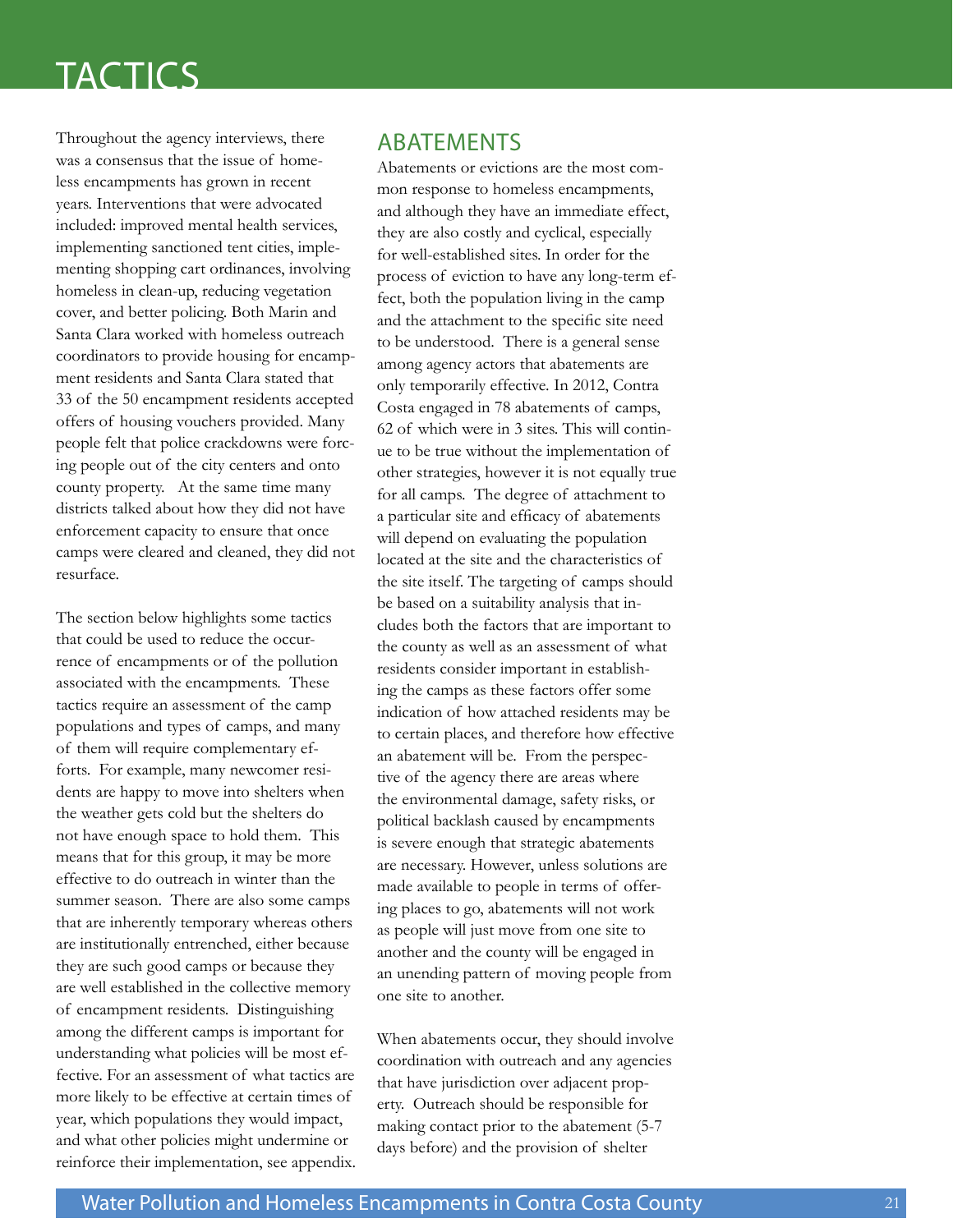# **TACTICS**

was a consensus that the issue of home less encampments has grown in recent years. Interventions that were advocated included: improved mental health services, implementing sanctioned tent cities, imple menting shopping cart ordinances, involving homeless in clean-up, reducing vegetation cover, and better policing. Both Marin and Santa Clara worked with homeless outreach coordinators to provide housing for encamp ment residents and Santa Clara stated that 33 of the 50 encampment residents accepted offers of housing vouchers provided. Many people felt that police crackdowns were forc ing people out of the city centers and onto county property. At the same time many districts talked about how they did not have enforcement capacity to ensure that once camps were cleared and cleaned, they did not resurface. The section below highlights some tactics

that could be used to reduce the occur rence of encampments or of the pollution associated with the encampments. These tactics require an assessment of the camp populations and types of camps, and many of them will require complementary efforts. For example, many newcomer resi dents are happy to move into shelters when the weather gets cold but the shelters do not have enough space to hold them. This means that for this group, it may be more effective to do outreach in winter than the summer season. There are also some camps that are inherently temporary whereas others are institutionally entrenched, either because they are such good camps or because they are well established in the collective memory of encampment residents. Distinguishing among the different camps is important for understanding what policies will be most effective. For an assessment of what tactics are more likely to be effective at certain times of year, which populations they would impact, and what other policies might undermine or reinforce their implementation, see appendix.

#### **ABATEMENTS**

The<br>extra contents of the simulation channels. Algoer Follow Maximum is the material contra<br>and Homeless Encampments in Contra County 21 Throughout the agency interviews in Contra County 21 Throughout the agency interview Abatements or evictions are the most com mon response to homeless encampments, and although they have an immediate effect, they are also costly and cyclical, especially for well-established sites. In order for the process of eviction to have any long-term effect, both the population living in the camp and the attachment to the specific site need to be understood. There is a general sense among agency actors that abatements are only temporarily effective. In 2012, Contra Costa engaged in 78 abatements of camps, 62 of which were in 3 sites. This will contin ue to be true without the implementation of other strategies, however it is not equally true for all camps. The degree of attachment to a particular site and efficacy of abatements will depend on evaluating the population located at the site and the characteristics of the site itself. The targeting of camps should be based on a suitability analysis that in cludes both the factors that are important to the county as well as an assessment of what residents consider important in establish ing the camps as these factors offer some indication of how attached residents may be to certain places, and therefore how effective an abatement will be. From the perspec tive of the agency there are areas where the environmental damage, safety risks, or political backlash caused by encampments is severe enough that strategic abatements are necessary. However, unless solutions are made available to people in terms of offer ing places to go, abatements will not work as people will just move from one site to another and the county will be engaged in an unending pattern of moving people from one site to another.

When abatements occur, they should involve coordination with outreach and any agencies that have jurisdiction over adjacent prop erty. Outreach should be responsible for making contact prior to the abatement (5-7 days before) and the provision of shelter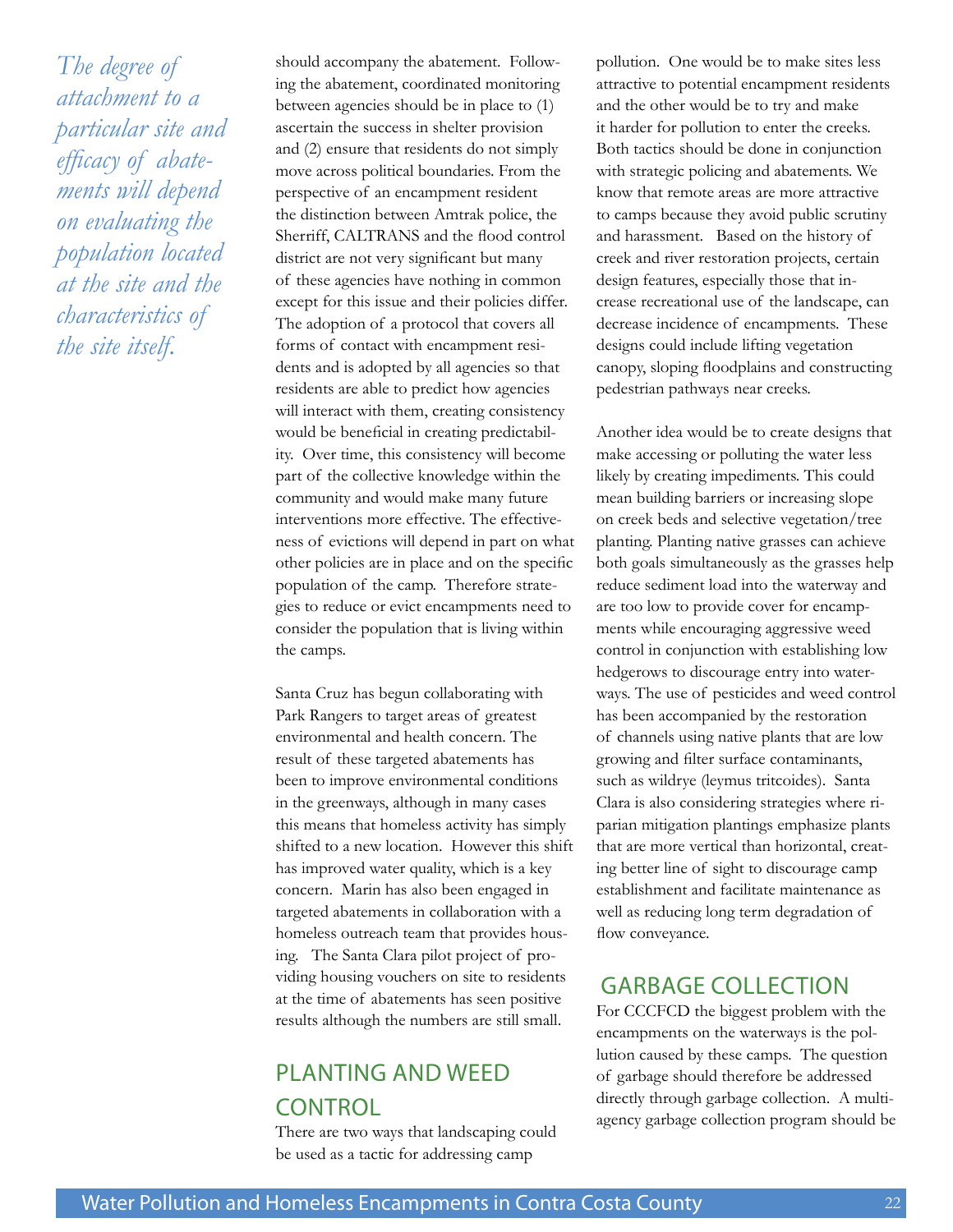*The degree of attachment to a particular site and efficacy of abatements will depend on evaluating the population located at the site and the characteristics of the site itself.* 

should accompany the abatement. Following the abatement, coordinated monitoring between agencies should be in place to (1) ascertain the success in shelter provision and (2) ensure that residents do not simply move across political boundaries. From the perspective of an encampment resident the distinction between Amtrak police, the Sherriff, CALTRANS and the flood control district are not very significant but many of these agencies have nothing in common except for this issue and their policies differ. The adoption of a protocol that covers all forms of contact with encampment residents and is adopted by all agencies so that residents are able to predict how agencies will interact with them, creating consistency would be beneficial in creating predictability. Over time, this consistency will become part of the collective knowledge within the community and would make many future interventions more effective. The effectiveness of evictions will depend in part on what other policies are in place and on the specific population of the camp. Therefore strategies to reduce or evict encampments need to consider the population that is living within the camps.

Santa Cruz has begun collaborating with Park Rangers to target areas of greatest environmental and health concern. The result of these targeted abatements has been to improve environmental conditions in the greenways, although in many cases this means that homeless activity has simply shifted to a new location. However this shift has improved water quality, which is a key concern. Marin has also been engaged in targeted abatements in collaboration with a homeless outreach team that provides housing. The Santa Clara pilot project of providing housing vouchers on site to residents at the time of abatements has seen positive results although the numbers are still small.

#### Planting and Weed **CONTROL**

There are two ways that landscaping could be used as a tactic for addressing camp

pollution. One would be to make sites less attractive to potential encampment residents and the other would be to try and make it harder for pollution to enter the creeks. Both tactics should be done in conjunction with strategic policing and abatements. We know that remote areas are more attractive to camps because they avoid public scrutiny and harassment. Based on the history of creek and river restoration projects, certain design features, especially those that increase recreational use of the landscape, can decrease incidence of encampments. These designs could include lifting vegetation canopy, sloping floodplains and constructing pedestrian pathways near creeks.

Another idea would be to create designs that make accessing or polluting the water less likely by creating impediments. This could mean building barriers or increasing slope on creek beds and selective vegetation/tree planting. Planting native grasses can achieve both goals simultaneously as the grasses help reduce sediment load into the waterway and are too low to provide cover for encampments while encouraging aggressive weed control in conjunction with establishing low hedgerows to discourage entry into waterways. The use of pesticides and weed control has been accompanied by the restoration of channels using native plants that are low growing and filter surface contaminants, such as wildrye (leymus tritcoides). Santa Clara is also considering strategies where riparian mitigation plantings emphasize plants that are more vertical than horizontal, creating better line of sight to discourage camp establishment and facilitate maintenance as well as reducing long term degradation of flow conveyance.

#### Garbage Collection

For CCCFCD the biggest problem with the encampments on the waterways is the pollution caused by these camps. The question of garbage should therefore be addressed directly through garbage collection. A multiagency garbage collection program should be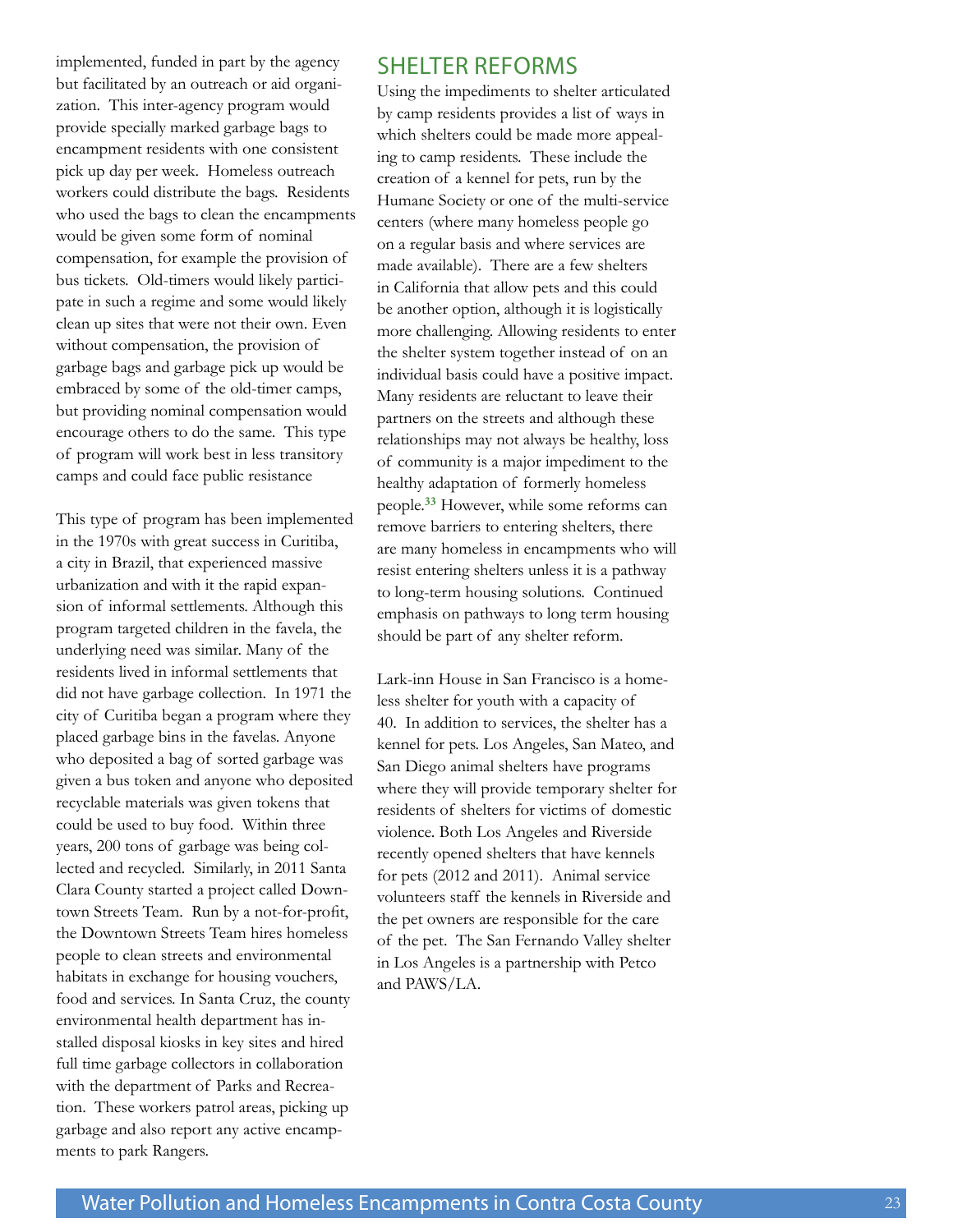implemented, funded in part by the agency but facilitated by an outreach or aid organi zation. This inter-agency program would provide specially marked garbage bags to encampment residents with one consistent pick up day per week. Homeless outreach workers could distribute the bags. Residents who used the bags to clean the encampments would be given some form of nominal compensation, for example the provision of bus tickets. Old-timers would likely partici pate in such a regime and some would likely clean up sites that were not their own. Even without compensation, the provision of garbage bags and garbage pick up would be embraced by some of the old-timer camps, but providing nominal compensation would encourage others to do the same. This type of program will work best in less transitory camps and could face public resistance

This type of program has been implemented in the 1970s with great success in Curitiba, a city in Brazil, that experienced massive urbanization and with it the rapid expan sion of informal settlements. Although this program targeted children in the favela, the underlying need was similar. Many of the residents lived in informal settlements that did not have garbage collection. In 1971 the city of Curitiba began a program where they placed garbage bins in the favelas. Anyone who deposited a bag of sorted garbage was given a bus token and anyone who deposited recyclable materials was given tokens that could be used to buy food. Within three years, 200 tons of garbage was being col lected and recycled. Similarly, in 2011 Santa Clara County started a project called Down town Streets Team. Run by a not-for-profit, the Downtown Streets Team hires homeless people to clean streets and environmental habitats in exchange for housing vouchers, food and services. In Santa Cruz, the county environmental health department has in stalled disposal kiosks in key sites and hired full time garbage collectors in collaboration with the department of Parks and Recreation. These workers patrol areas, picking up garbage and also report any active encamp ments to park Rangers.

#### SHELTER REFORMS

Using the impediments to shelter articulated by camp residents provides a list of ways in which shelters could be made more appeal ing to camp residents. These include the creation of a kennel for pets, run by the Humane Society or one of the multi-service centers (where many homeless people go on a regular basis and where services are made available). There are a few shelters in California that allow pets and this could be another option, although it is logistically more challenging. Allowing residents to enter the shelter system together instead of on an individual basis could have a positive impact. Many residents are reluctant to leave their partners on the streets and although these relationships may not always be healthy, loss of community is a major impediment to the healthy adaptation of formerly homeless people.**33** However, while some reforms can remove barriers to entering shelters, there are many homeless in encampments who will resist entering shelters unless it is a pathway to long-term housing solutions. Continued emphasis on pathways to long term housing

should be part of any shelter reform. Lark-inn House in San Francisco is a home less shelter for youth with a capacity of 40. In addition to services, the shelter has a kennel for pets. Los Angeles, San Mateo, and San Diego animal shelters have programs where they will provide temporary shelter for residents of shelters for victims of domestic violence. Both Los Angeles and Riverside recently opened shelters that have kennels for pets (2012 and 2011). Animal service volunteers staff the kennels in Riverside and the pet owners are responsible for the care of the pet. The San Fernando Valley shelter in Los Angeles is a partnership with Petco and PAW S /LA .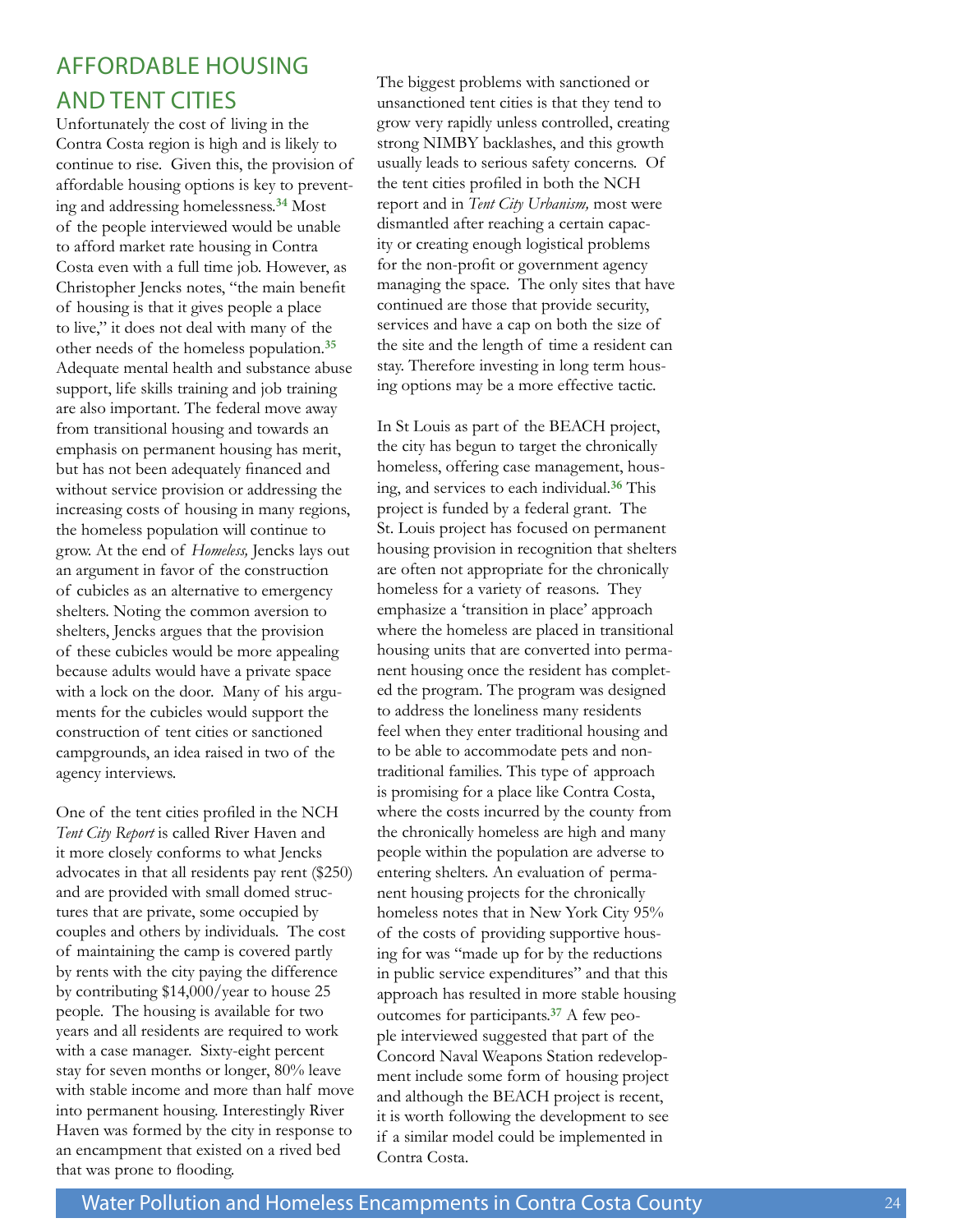## Affor dable Housing an d Tent Cities

Unfortunately the cost of living in the Contra Costa region is high and is likely to continue to rise. Given this, the provision of affordable housing options is key to prevent ing and addressing homelessness.**34** Most of the people interviewed would be unable to afford market rate housing in Contra Costa even with a full time job. However, as Christopher Jencks notes, "the main benefit of housing is that it gives people a place to live," it does not deal with many of the other needs of the homeless population.**<sup>35</sup>** Adequate mental health and substance abuse support, life skills training and job training are also important. The federal move away from transitional housing and towards an emphasis on permanent housing has merit, but has not been adequately financed and without service provision or addressing the increasing costs of housing in many regions, the homeless population will continue to grow. At the end of *Homeless,* Jencks lays out an argument in favor of the construction of cubicles as an alternative to emergency shelters. Noting the common aversion to shelters, Jencks argues that the provision of these cubicles would be more appealing because adults would have a private space with a lock on the door. Many of his arguments for the cubicles would support the construction of tent cities or sanctioned campgrounds, an idea raised in two of the agency interviews.

One of the tent cities profiled in the NCH *Tent City Report* is called River Haven and it more closely conforms to what Jencks advocates in that all residents pay rent (\$250) and are provided with small domed struc tures that are private, some occupied by couples and others by individuals. The cost of maintaining the camp is covered partly by rents with the city paying the difference by contributing \$14,000/year to house 25 people. The housing is available for two years and all residents are required to work with a case manager. Sixty-eight percent stay for seven months or longer, 80% leave with stable income and more than half move into permanent housing. Interestingly River Haven was formed by the city in response to an encampment that existed on a rived bed that was prone to flooding.

The biggest problems with sanctioned or unsanctioned tent cities is that they tend to grow very rapidly unless controlled, creating strong NIMBY backlashes, and this growth usually leads to serious safety concerns. Of the tent cities profiled in both the NCH report and in *Tent City Urbanism,* most were dismantled after reaching a certain capac ity or creating enough logistical problems for the non-profit or government agency managing the space. The only sites that have continued are those that provide security, services and have a cap on both the size of the site and the length of time a resident can stay. Therefore investing in long term hous ing options may be a more effective tactic. In St Louis as part of the BEACH project,

the city has begun to target the chronically homeless, offering case management, hous ing, and services to each individual.**36** This project is funded by a federal grant. The St. Louis project has focused on permanent housing provision in recognition that shelters are often not appropriate for the chronically homeless for a variety of reasons. They emphasize a 'transition in place' approach where the homeless are placed in transitional housing units that are converted into perma nent housing once the resident has complet ed the program. The program was designed to address the loneliness many residents feel when they enter traditional housing and to be able to accommodate pets and non traditional families. This type of approach is promising for a place like Contra Costa, where the costs incurred by the county from the chronically homeless are high and many people within the population are adverse to entering shelters. An evaluation of perma nent housing projects for the chronically homeless notes that in New York City 95% of the costs of providing supportive hous ing for was "made up for by the reductions in public service expenditures" and that this approach has resulted in more stable housing outcomes for participants.**37** A few peo ple interviewed suggested that part of the Concord Naval Weapons Station redevelop ment include some form of housing project and although the BEACH project is recent, it is worth following the development to see if a similar model could be implemented in Contra Costa.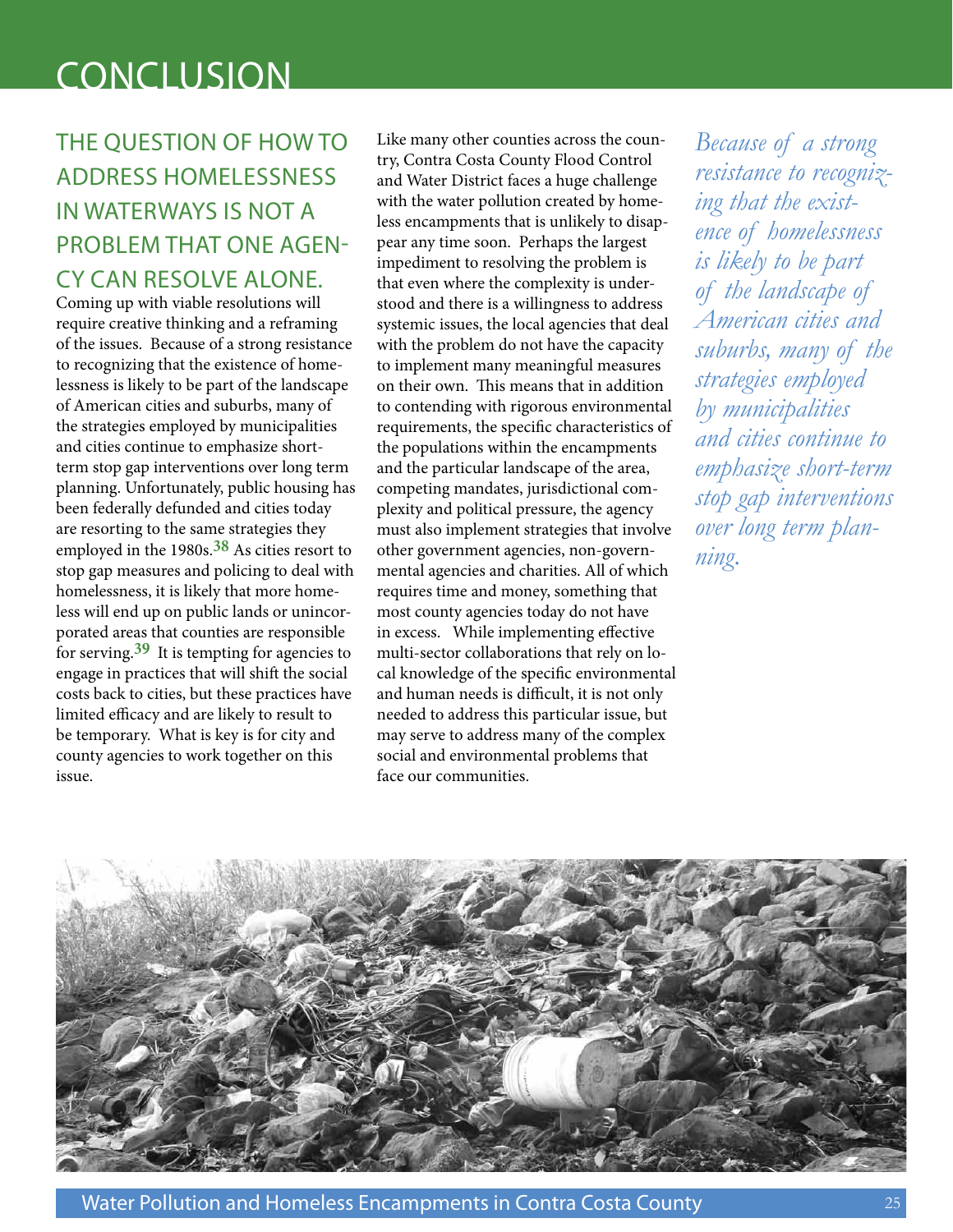# CONCLUSION

## The question of how to address homelessness in waterways is not a problem that one agency can resolve alone.

Coming up with viable resolutions will require creative thinking and a reframing of the issues. Because of a strong resistance to recognizing that the existence of homelessness is likely to be part of the landscape of American cities and suburbs, many of the strategies employed by municipalities and cities continue to emphasize shortterm stop gap interventions over long term planning. Unfortunately, public housing has been federally defunded and cities today are resorting to the same strategies they employed in the 1980s.**38** As cities resort to stop gap measures and policing to deal with homelessness, it is likely that more homeless will end up on public lands or unincorporated areas that counties are responsible for serving.**39** It is tempting for agencies to engage in practices that will shift the social costs back to cities, but these practices have limited efficacy and are likely to result to be temporary. What is key is for city and county agencies to work together on this issue.

Like many other counties across the country, Contra Costa County Flood Control and Water District faces a huge challenge with the water pollution created by homeless encampments that is unlikely to disappear any time soon. Perhaps the largest impediment to resolving the problem is that even where the complexity is understood and there is a willingness to address systemic issues, the local agencies that deal with the problem do not have the capacity to implement many meaningful measures on their own. This means that in addition to contending with rigorous environmental requirements, the specific characteristics of the populations within the encampments and the particular landscape of the area, competing mandates, jurisdictional complexity and political pressure, the agency must also implement strategies that involve other government agencies, non-governmental agencies and charities. All of which requires time and money, something that most county agencies today do not have in excess. While implementing effective multi-sector collaborations that rely on local knowledge of the specific environmental and human needs is difficult, it is not only needed to address this particular issue, but may serve to address many of the complex social and environmental problems that face our communities.

*Because of a strong resistance to recognizing that the existence of homelessness is likely to be part of the landscape of American cities and suburbs, many of the strategies employed by municipalities and cities continue to emphasize short-term stop gap interventions over long term planning.* 



<sup>25</sup> Water Pollution and Homeless Encampments in Contra Costa County 25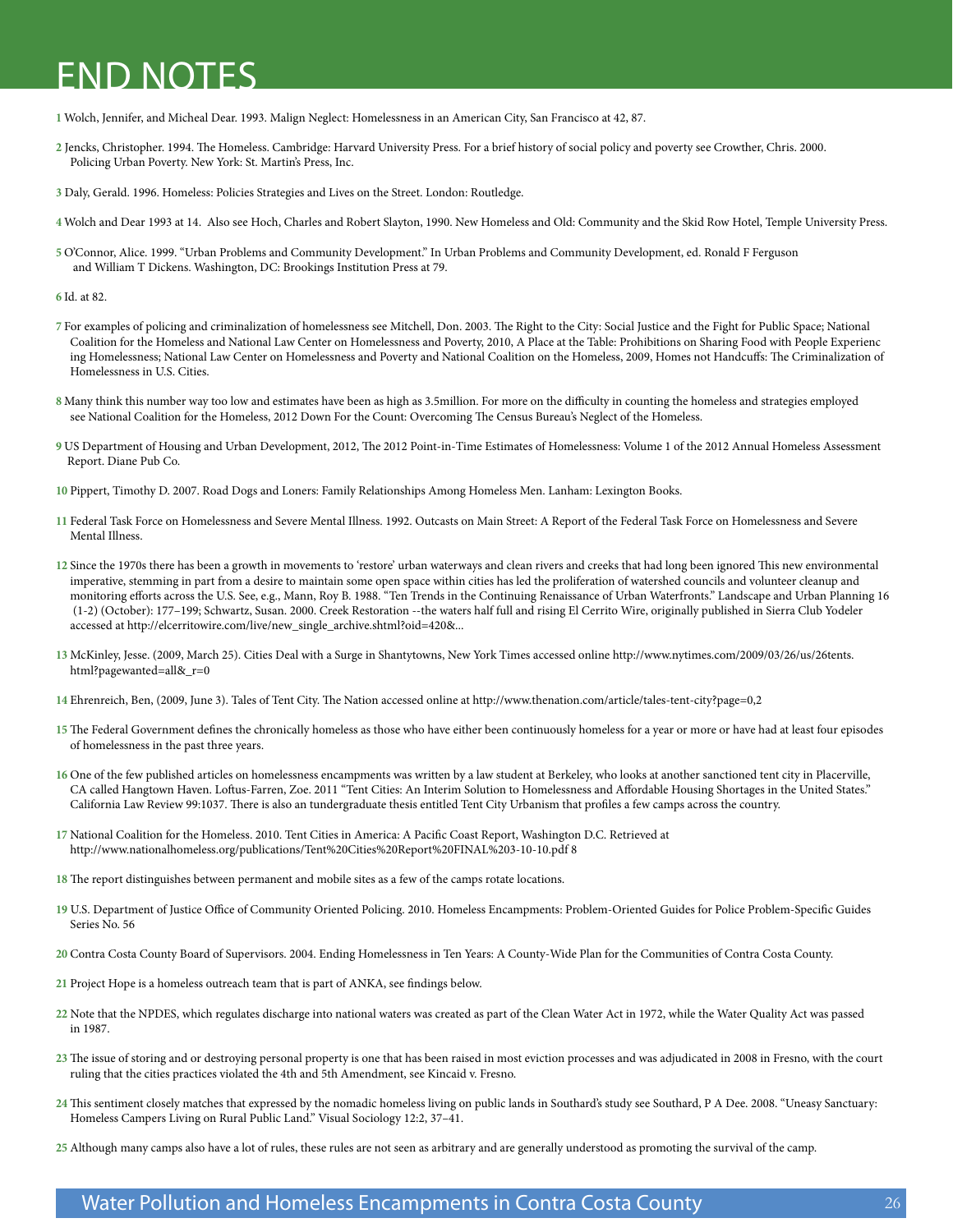# END NOTES

**1** Wolch, Jennifer, and Micheal Dear. 1993. Malign Neglect: Homelessness in an American City, San Francisco at 42, 87.

- **2** Jencks, Christopher. 1994. The Homeless. Cambridge: Harvard University Press. For a brief history of social policy and poverty see Crowther, Chris. 2000. Policing Urban Poverty. New York: St. Martin's Press, Inc.
- **3** Daly, Gerald. 1996. Homeless: Policies Strategies and Lives on the Street. London: Routledge.
- **4** Wolch and Dear 1993 at 14. Also see Hoch, Charles and Robert Slayton, 1990. New Homeless and Old: Community and the Skid Row Hotel, Temple University Press.
- **5** O'Connor, Alice. 1999. "Urban Problems and Community Development." In Urban Problems and Community Development, ed. Ronald F Ferguson and William T Dickens. Washington, DC: Brookings Institution Press at 79.

**6** Id. at 82.

- **7** For examples of policing and criminalization of homelessness see Mitchell, Don. 2003. The Right to the City: Social Justice and the Fight for Public Space; National Coalition for the Homeless and National Law Center on Homelessness and Poverty, 2010, A Place at the Table: Prohibitions on Sharing Food with People Experienc ing Homelessness; National Law Center on Homelessness and Poverty and National Coalition on the Homeless, 2009, Homes not Handcuffs: The Criminalization of Homelessness in U.S. Cities.
- **8** Many think this number way too low and estimates have been as high as 3.5million. For more on the difficulty in counting the homeless and strategies employed see National Coalition for the Homeless, 2012 Down For the Count: Overcoming The Census Bureau's Neglect of the Homeless.
- **9** US Department of Housing and Urban Development, 2012, The 2012 Point-in-Time Estimates of Homelessness: Volume 1 of the 2012 Annual Homeless Assessment Report. Diane Pub Co.
- **10** Pippert, Timothy D. 2007. Road Dogs and Loners: Family Relationships Among Homeless Men. Lanham: Lexington Books.
- **11** Federal Task Force on Homelessness and Severe Mental Illness. 1992. Outcasts on Main Street: A Report of the Federal Task Force on Homelessness and Severe Mental Illness.
- **12** Since the 1970s there has been a growth in movements to 'restore' urban waterways and clean rivers and creeks that had long been ignored This new environmental imperative, stemming in part from a desire to maintain some open space within cities has led the proliferation of watershed councils and volunteer cleanup and monitoring efforts across the U.S. See, e.g., Mann, Roy B. 1988. "Ten Trends in the Continuing Renaissance of Urban Waterfronts." Landscape and Urban Planning 16 (1-2) (October): 177–199; Schwartz, Susan. 2000. Creek Restoration --the waters half full and rising El Cerrito Wire, originally published in Sierra Club Yodeler accessed at http://elcerritowire.com/live/new\_single\_archive.shtml?oid=420&...
- **13** McKinley, Jesse. (2009, March 25). Cities Deal with a Surge in Shantytowns, New York Times accessed online http://www.nytimes.com/2009/03/26/us/26tents. html?pagewanted=all&\_r=0
- **14** Ehrenreich, Ben, (2009, June 3). Tales of Tent City. The Nation accessed online at http://www.thenation.com/article/tales-tent-city?page=0,2
- **15** The Federal Government defines the chronically homeless as those who have either been continuously homeless for a year or more or have had at least four episodes of homelessness in the past three years.
- **16** One of the few published articles on homelessness encampments was written by a law student at Berkeley, who looks at another sanctioned tent city in Placerville, CA called Hangtown Haven. Loftus-Farren, Zoe. 2011 "Tent Cities: An Interim Solution to Homelessness and Affordable Housing Shortages in the United States." California Law Review 99:1037. There is also an tundergraduate thesis entitled Tent City Urbanism that profiles a few camps across the country.
- **17** National Coalition for the Homeless. 2010. Tent Cities in America: A Pacific Coast Report, Washington D.C. Retrieved at http://www.nationalhomeless.org/publications/Tent%20Cities%20Report%20FINAL%203-10-10.pdf 8
- **18** The report distinguishes between permanent and mobile sites as a few of the camps rotate locations.
- **19** U.S. Department of Justice Office of Community Oriented Policing. 2010. Homeless Encampments: Problem-Oriented Guides for Police Problem-Specific Guides Series No. 56
- **20** Contra Costa County Board of Supervisors. 2004. Ending Homelessness in Ten Years: A County-Wide Plan for the Communities of Contra Costa County.
- **21** Project Hope is a homeless outreach team that is part of ANKA, see findings below.
- **22** Note that the NPDES, which regulates discharge into national waters was created as part of the Clean Water Act in 1972, while the Water Quality Act was passed in 1987.
- **23** The issue of storing and or destroying personal property is one that has been raised in most eviction processes and was adjudicated in 2008 in Fresno, with the court ruling that the cities practices violated the 4th and 5th Amendment, see Kincaid v. Fresno.
- **24** This sentiment closely matches that expressed by the nomadic homeless living on public lands in Southard's study see Southard, P A Dee. 2008. "Uneasy Sanctuary: Homeless Campers Living on Rural Public Land." Visual Sociology 12:2, 37–41.
- **25** Although many camps also have a lot of rules, these rules are not seen as arbitrary and are generally understood as promoting the survival of the camp.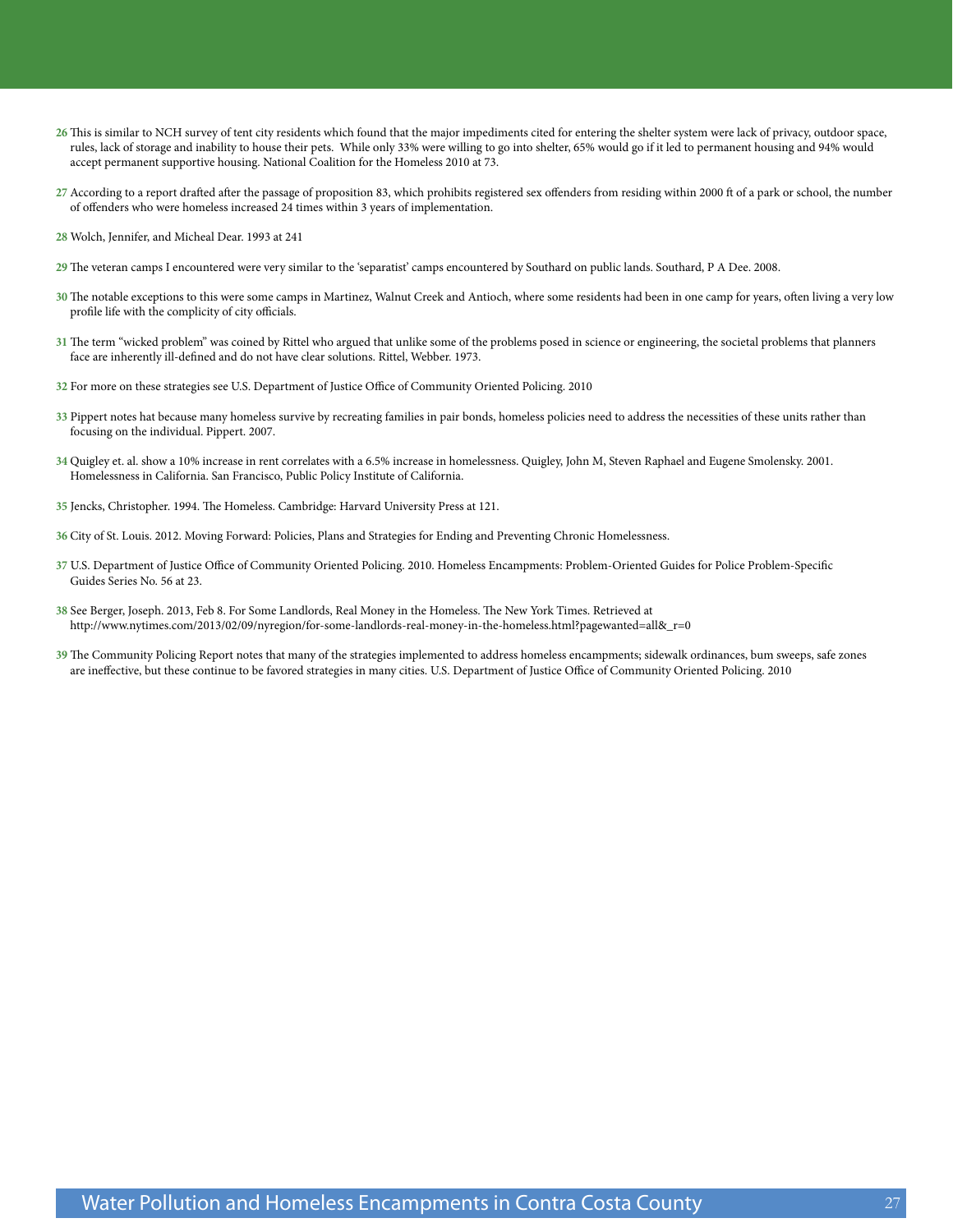- **26** This is similar to NCH survey of tent city residents which found that the major impediments cited for entering the shelter system were lack of privacy, outdoor space, rules, lack of storage and inability to house their pets. While only 33% were willing to go into shelter, 65% would go if it led to permanent housing and 94% would accept permanent supportive housing. National Coalition for the Homeless 2010 at 73.
- **27** According to a report drafted after the passage of proposition 83, which prohibits registered sex offenders from residing within 2000 ft of a park or school, the number of offenders who were homeless increased 24 times within 3 years of implementation.
- **28** Wolch, Jennifer, and Micheal Dear. 1993 at 241
- **29** The veteran camps I encountered were very similar to the 'separatist' camps encountered by Southard on public lands. Southard, P A Dee. 2008.
- **30** The notable exceptions to this were some camps in Martinez, Walnut Creek and Antioch, where some residents had been in one camp for years, often living a very low profile life with the complicity of city officials.
- **31** The term "wicked problem" was coined by Rittel who argued that unlike some of the problems posed in science or engineering, the societal problems that planners face are inherently ill-defined and do not have clear solutions. Rittel, Webber. 1973.
- **32** For more on these strategies see U.S. Department of Justice Office of Community Oriented Policing. 2010
- **33** Pippert notes hat because many homeless survive by recreating families in pair bonds, homeless policies need to address the necessities of these units rather than focusing on the individual. Pippert. 2007.
- **34** Quigley et. al. show a 10% increase in rent correlates with a 6.5% increase in homelessness. Quigley, John M, Steven Raphael and Eugene Smolensky. 2001. Homelessness in California. San Francisco, Public Policy Institute of California.
- **35** Jencks, Christopher. 1994. The Homeless. Cambridge: Harvard University Press at 121.
- **36** City of St. Louis. 2012. Moving Forward: Policies, Plans and Strategies for Ending and Preventing Chronic Homelessness.
- **37** U.S. Department of Justice Office of Community Oriented Policing. 2010. Homeless Encampments: Problem-Oriented Guides for Police Problem-Specific Guides Series No. 56 at 23.
- **38** See Berger, Joseph. 2013, Feb 8. For Some Landlords, Real Money in the Homeless. The New York Times. Retrieved at http://www.nytimes.com/2013/02/09/nyregion/for-some-landlords-real-money-in-the-homeless.html?pagewanted=all&\_r=0
- **39** The Community Policing Report notes that many of the strategies implemented to address homeless encampments; sidewalk ordinances, bum sweeps, safe zones are ineffective, but these continue to be favored strategies in many cities. U.S. Department of Justice Office of Community Oriented Policing. 2010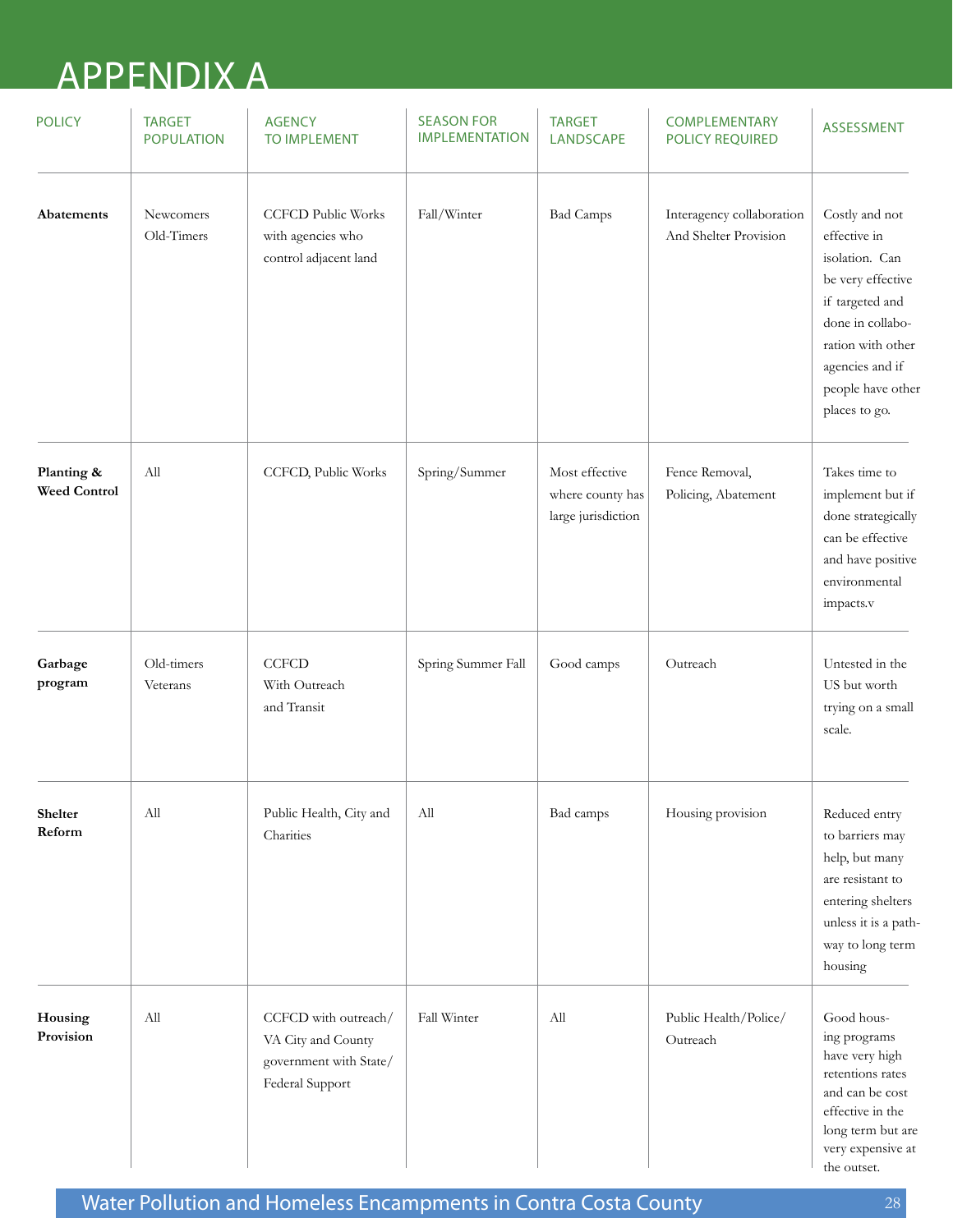# APPENDIX AND APPENDIX AND A

| <b>POLICY</b>                     | <b>TARGET</b><br><b>POPULATION</b> | <b>AGENCY</b><br><b>TO IMPLEMENT</b>                                                    | <b>SEASON FOR</b><br><b>IMPLEMENTATION</b> | <b>TARGET</b><br><b>LANDSCAPE</b>                        | <b>COMPLEMENTARY</b><br><b>POLICY REQUIRED</b>     | <b>ASSESSMENT</b>                                                                                                                                                                          |
|-----------------------------------|------------------------------------|-----------------------------------------------------------------------------------------|--------------------------------------------|----------------------------------------------------------|----------------------------------------------------|--------------------------------------------------------------------------------------------------------------------------------------------------------------------------------------------|
| Abatements                        | Newcomers<br>Old-Timers            | <b>CCFCD Public Works</b><br>with agencies who<br>control adjacent land                 | Fall/Winter                                | <b>Bad Camps</b>                                         | Interagency collaboration<br>And Shelter Provision | Costly and not<br>effective in<br>isolation. Can<br>be very effective<br>if targeted and<br>done in collabo-<br>ration with other<br>agencies and if<br>people have other<br>places to go. |
| Planting &<br><b>Weed Control</b> | All                                | CCFCD, Public Works                                                                     | Spring/Summer                              | Most effective<br>where county has<br>large jurisdiction | Fence Removal,<br>Policing, Abatement              | Takes time to<br>implement but if<br>done strategically<br>can be effective<br>and have positive<br>environmental<br>impacts.v                                                             |
| Garbage<br>program                | Old-timers<br>Veterans             | <b>CCFCD</b><br>With Outreach<br>and Transit                                            | Spring Summer Fall                         | Good camps                                               | Outreach                                           | Untested in the<br>US but worth<br>trying on a small<br>scale.                                                                                                                             |
| Shelter<br>Reform                 | All                                | Public Health, City and<br>Charities                                                    | All                                        | Bad camps                                                | Housing provision                                  | Reduced entry<br>to barriers may<br>help, but many<br>are resistant to<br>entering shelters<br>unless it is a path-<br>way to long term<br>housing                                         |
| Housing<br>Provision              | All                                | CCFCD with outreach/<br>VA City and County<br>government with State/<br>Federal Support | Fall Winter                                | All                                                      | Public Health/Police/<br>Outreach                  | Good hous-<br>ing programs<br>have very high<br>retentions rates<br>and can be cost<br>effective in the<br>long term but are<br>very expensive at<br>the outset.                           |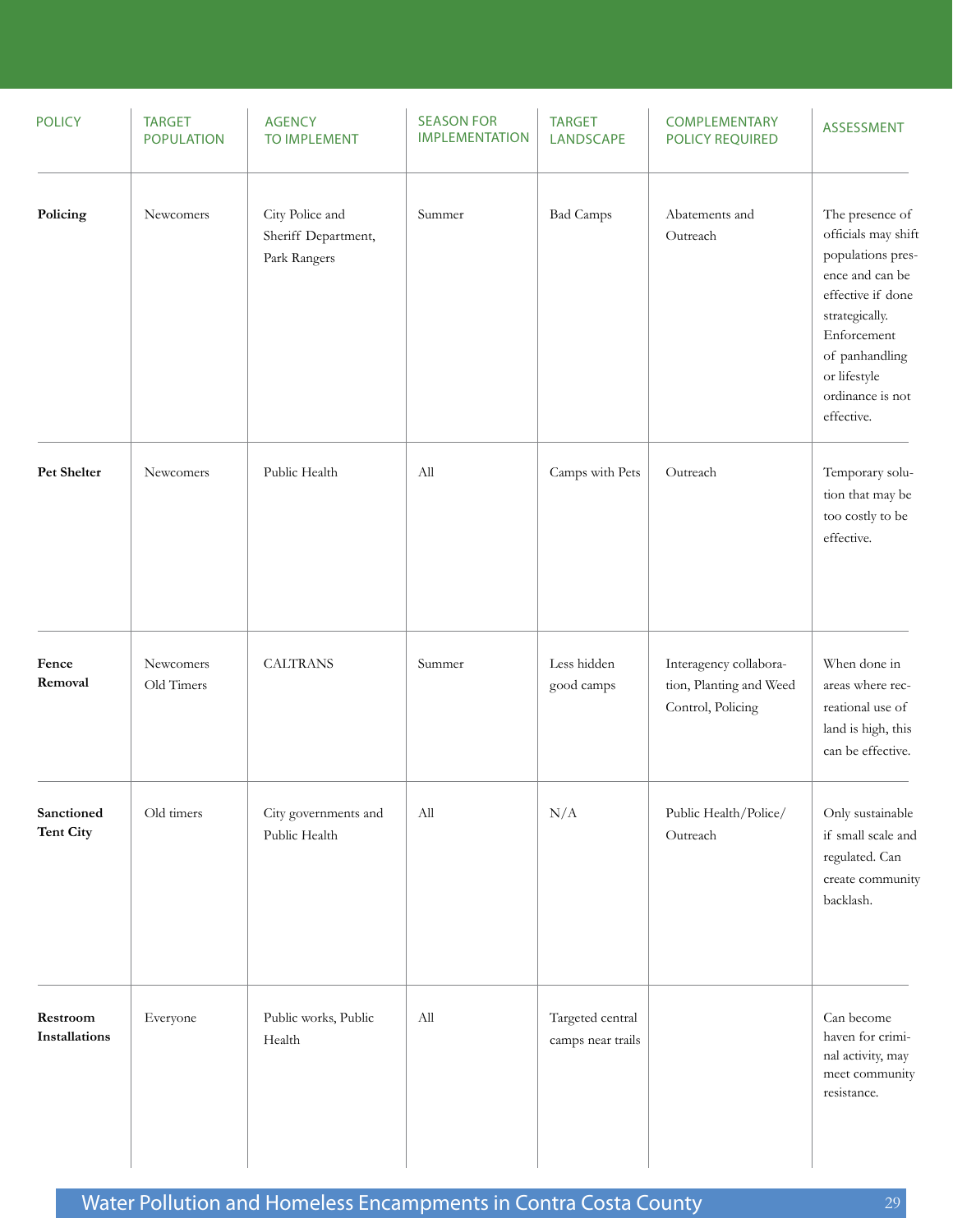| <b>POLICY</b>             | <b>TARGET</b><br><b>POPULATION</b> | <b>AGENCY</b><br><b>TO IMPLEMENT</b>                   | <b>SEASON FOR</b><br><b>IMPLEMENTATION</b> | <b>TARGET</b><br><b>LANDSCAPE</b>     | COMPLEMENTARY<br>POLICY REQUIRED                                       | <b>ASSESSMENT</b>                                                                                                                                                                                        |
|---------------------------|------------------------------------|--------------------------------------------------------|--------------------------------------------|---------------------------------------|------------------------------------------------------------------------|----------------------------------------------------------------------------------------------------------------------------------------------------------------------------------------------------------|
| Policing                  | Newcomers                          | City Police and<br>Sheriff Department,<br>Park Rangers | Summer                                     | <b>Bad Camps</b>                      | Abatements and<br>Outreach                                             | The presence of<br>officials may shift<br>populations pres-<br>ence and can be<br>effective if done<br>strategically.<br>Enforcement<br>of panhandling<br>or lifestyle<br>ordinance is not<br>effective. |
| Pet Shelter               | Newcomers                          | Public Health                                          | All                                        | Camps with Pets                       | Outreach                                                               | Temporary solu-<br>tion that may be<br>too costly to be<br>effective.                                                                                                                                    |
| Fence<br>Removal          | Newcomers<br>Old Timers            | <b>CALTRANS</b>                                        | Summer                                     | Less hidden<br>good camps             | Interagency collabora-<br>tion, Planting and Weed<br>Control, Policing | When done in<br>areas where rec-<br>reational use of<br>land is high, this<br>can be effective.                                                                                                          |
| Sanctioned<br>Tent City   | Old timers                         | City governments and<br>Public Health                  | All                                        | N/A                                   | Public Health/Police/<br>Outreach                                      | Only sustainable<br>if small scale and<br>regulated. Can<br>create community<br>backlash.                                                                                                                |
| Restroom<br>Installations | Everyone                           | Public works, Public<br>Health                         | All                                        | Targeted central<br>camps near trails |                                                                        | Can become<br>haven for crimi-<br>nal activity, may<br>meet community<br>resistance.                                                                                                                     |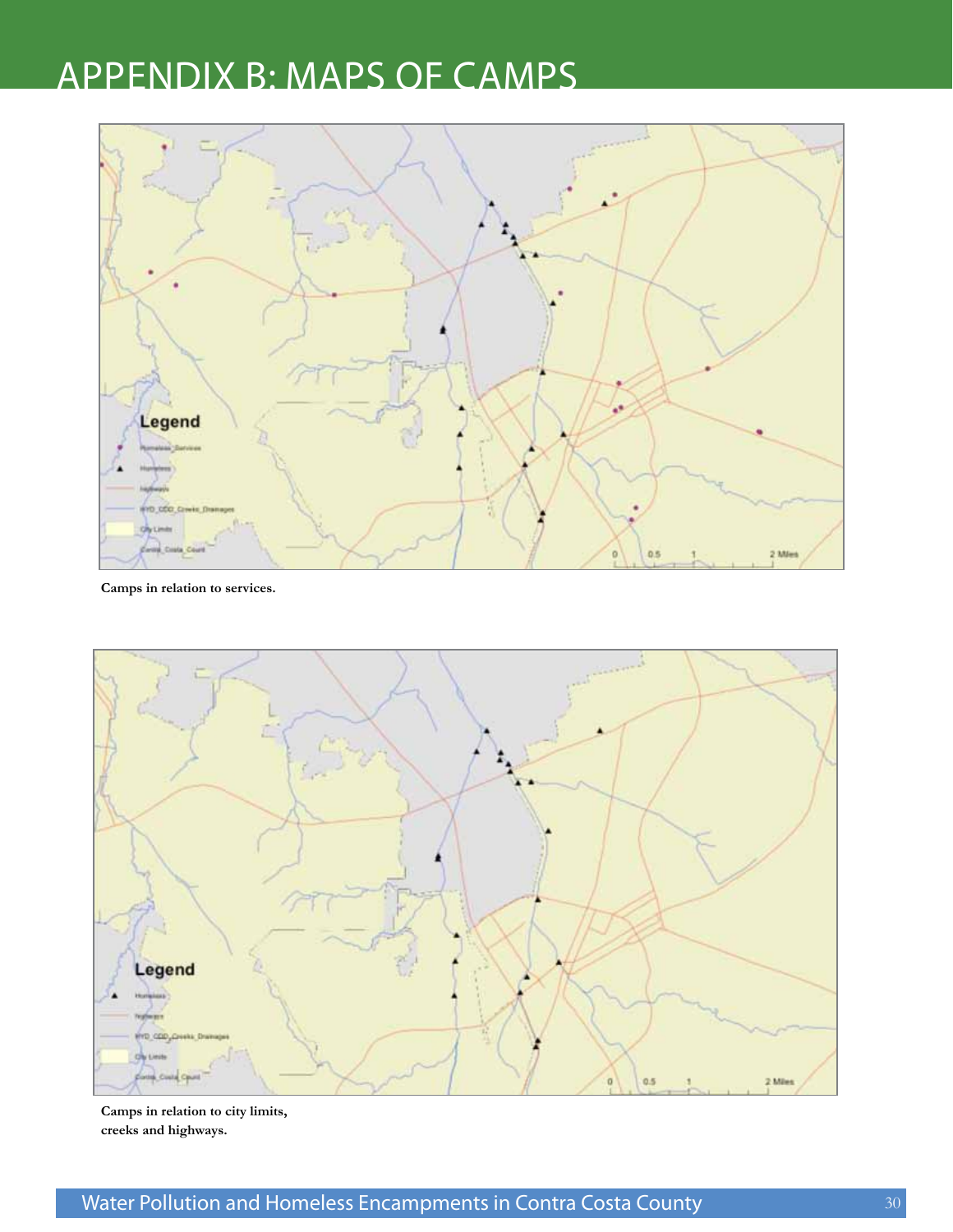# APPENDIX B: maps of camps



**Camps in relation to services.**



**Camps in relation to city limits, creeks and highways.**